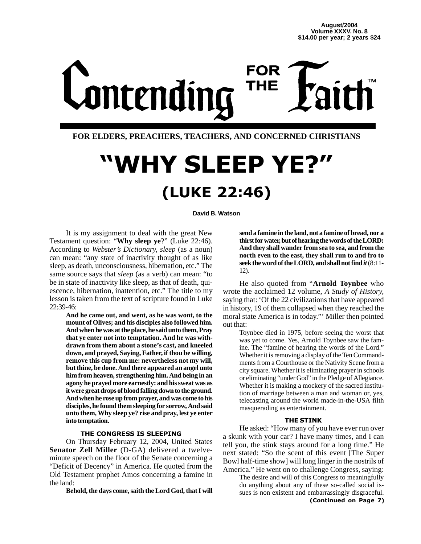## **FOR** Lontending **THE**

### **FOR ELDERS, PREACHERS, TEACHERS, AND CONCERNED CHRISTIANS**

## "WHY SLEEP YE?" (LUKE 22:46)

**David B. Watson**

It is my assignment to deal with the great New Testament question: "**Why sleep ye**?" (Luke 22:46). According to *Webster's Dictionary, sleep* (as a noun) can mean: "any state of inactivity thought of as like sleep, as death, unconsciousness, hibernation, etc." The same source says that *sleep* (as a verb) can mean: "to be in state of inactivity like sleep, as that of death, quiescence, hibernation, inattention, etc." The title to my lesson is taken from the text of scripture found in Luke 22:39-46:

**And he came out, and went, as he was wont, to the mount of Olives; and his disciples also followed him. And when he was at the place, he said unto them, Pray that ye enter not into temptation. And he was withdrawn from them about a stone's cast, and kneeled down, and prayed, Saying, Father, if thou be willing, remove this cup from me: nevertheless not my will, but thine, be done. And there appeared an angel unto him from heaven, strengthening him. And being in an agony he prayed more earnestly: and his sweat was as it were great drops of blood falling down to the ground. And when he rose up from prayer, and was come to his disciples, he found them sleeping for sorrow, And said unto them, Why sleep ye? rise and pray, lest ye enter into temptation.**

### THE CONGRESS IS SLEEPING

On Thursday February 12, 2004, United States **Senator Zell Miller** (D-GA) delivered a twelveminute speech on the floor of the Senate concerning a "Deficit of Decency" in America. He quoted from the Old Testament prophet Amos concerning a famine in the land:

**Behold, the days come, saith the Lord God, that I will**

**send a famine in the land, not a famine of bread, nor a thirst for water, but of hearing the words of the LORD: And they shall wander from sea to sea, and from the north even to the east, they shall run to and fro to seek the word of the LORD, and shall not find** *it*(8:11- 12).

He also quoted from "**Arnold Toynbee** who wrote the acclaimed 12 volume, *A Study of History,* saying that: 'Of the 22 civilizations that have appeared in history, 19 of them collapsed when they reached the moral state America is in today."' Miller then pointed out that:

Toynbee died in 1975, before seeing the worst that was yet to come. Yes, Arnold Toynbee saw the famine. The "famine of hearing the words of the Lord." Whether it is removing a display of the Ten Commandments from a Courthouse or the Nativity Scene from a city square. Whether it is eliminating prayer in schools or eliminating "under God" in the Pledge of Allegiance. Whether it is making a mockery of the sacred institution of marriage between a man and woman or, yes, telecasting around the world made-in-the-USA filth masquerading as entertainment.

### THE STINK

He asked: "How many of you have ever run over a skunk with your car? I have many times, and I can tell you, the stink stays around for a long time." He next stated: "So the scent of this event [The Super Bowl half-time show] will long linger in the nostrils of America." He went on to challenge Congress, saying:

The desire and will of this Congress to meaningfully do anything about any of these so-called social issues is non existent and embarrassingly disgraceful. (Continued on Page 7)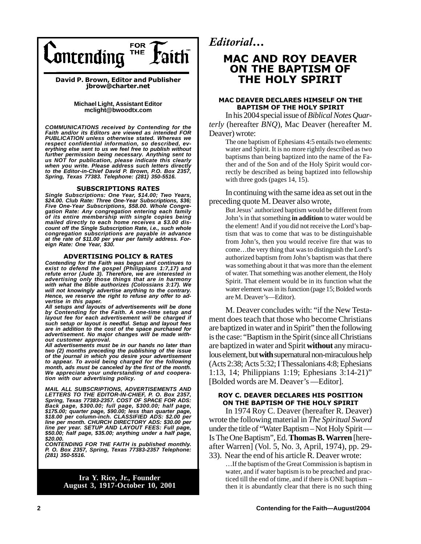

David P. Brown, Editor and Publisher jbrow@charter.net

> **Michael Light, Assistant Editor mclight@bwoodtx.com**

*COMMUNICATIONS received by Contending for the Faith and/or its Editors are viewed as intended FOR PUBLICATION unless otherwise stated. Whereas we respect confidential information, so described, ev-erything else sent to us we feel free to publish without further permission being necessary. Anything sent to us NOT for publication, please indicate this clearly when you write. Please address such letters directly to the Editor-in-Chief David P. Brown, P.O. Box 2357, Spring, Texas 77383. Telephone: (281) 350-5516.*

### SUBSCRIPTIONS RATES

*Single Subscriptions: One Year, \$14.00; Two Years, \$24.00. Club Rate: Three One-Year Subscriptions, \$36; Five One-Year Subscriptions, \$58.00. Whole Congregation Rate: Any congregation entering each family of its entire membership with single copies being mailed directly to each home receives a \$3.00 discount off the Single Subscription Rate, i.e., such whole congregation subscriptions are payable in advance at the rate of \$11.00 per year per family address. Foreign Rate: One Year, \$30.*

### ADVERTISING POLICY & RATES

*Contending for the Faith was begun and continues to exist to defend the gospel (Philippians 1:7,17) and refute error (Jude 3). Therefore, we are interested in advertising only those things that are in harmony with what the Bible authorizes (Colossians 3:17). We will not knowingly advertise anything to the contrary. Hence, we reserve the right to refuse any offer to advertise in this paper.*

*All setups and layouts of advertisements will be done by Contending for the Faith. A one-time setup and layout fee for each advertisement will be charged if such setup or layout is needful. Setup and layout fees are in addition to the cost of the space purchased for advertisement. No major changes will be made without customer approval.*

*All advertisements must be in our hands no later than two (2) months preceding the publishing of the issue of the journal in which you desire your advertisement to appear. To avoid being charged for the following month, ads must be canceled by the first of the month. We appreciate your understanding of and cooperation with our advertising policy.*

*MAIL ALL SUBSCRIPTIONS, ADVERTISEMENTS AND LETTERS TO THE EDITOR-IN-CHIEF, P. O. Box 2357, Spring, Texas 77383-2357. COST OF SPACE FOR ADS: Back page, \$300.00; full page, \$300.00; half page, \$175.00; quarter page, \$90.00; less than quarter page, \$18.00 per column-inch. CLASSIFIED ADS: \$2.00 per line per month. CHURCH DIRECTORY ADS: \$30.00 per line per year. SETUP AND LAYOUT FEES: Full page, \$50.00; half page, \$35.00; anything under a half page, \$20.00.*

*CONTENDING FOR THE FAITH is published monthly. P. O. Box 2357, Spring, Texas 77383-2357 Telephone: (281) 350-5516.*

> **Ira Y. Rice, Jr., Founder August 3, 1917-October 10, 2001**

Editorial...

### **MAC AND ROY DEAVER** ON THE BAPTISM OF THE HOLY SPIRIT

### MAC DEAVER DECLARES HIMSELF ON THE BAPTISM OF THE HOLY SPIRIT

In his 2004 special issue of *Biblical Notes Quarterly* (hereafter *BNQ*), Mac Deaver (hereafter M. Deaver) wrote:

The one baptism of Ephesians 4:5 entails two elements: water and Spirit. It is no more rightly described as two baptisms than being baptized into the name of the Father and of the Son and of the Holy Spirit would correctly be described as being baptized into fellowship with three gods (pages 14, 15).

In continuing with the same idea as set out in the preceding quote M. Deaver also wrote,

But Jesus' authorized baptism would be different from John's in that something **in addition** to water would be the element! And if you did not receive the Lord's baptism that was to come that was to be distinguishable from John's, then you would receive fire that was to come…the very thing that was to distinguish the Lord's authorized baptism from John's baptism was that there was something about it that was more than the element of water. That something was another element, the Holy Spirit. That element would be in its function what the water element was in its function (page 15; Bolded words are M. Deaver's—Editor).

M. Deaver concludes with: "if the New Testament does teach that those who become Christians are baptized in water and in Spirit" then the following is the case: "Baptism in the Spirit (since all Christians are baptized in water and Spirit **without** any miraculous element, but **with** supernatural non-miraculous help (Acts 2:38; Acts 5:32; I Thessalonians 4:8; Ephesians 1:13, 14; Philippians 1:19; Ephesians 3:14-21)" [Bolded words are M. Deaver's —Editor].

### ROY C. DEAVER DECLARES HIS POSITION ON THE BAPTISM OF THE HOLY SPIRIT

In 1974 Roy C. Deaver (hereafter R. Deaver) wrote the following material in *The Spiritual Sword* under the title of "Water Baptism – Not Holy Spirit — Is The One Baptism", Ed. **Thomas B. Warren** [hereafter Warren] (Vol. 5, No. 3, April, 1974), pp. 29- 33). Near the end of his article R. Deaver wrote:

…If the baptism of the Great Commission is baptism in water, and if water baptism is to be preached and practiced till the end of time, and if there is ONE baptism – then it is abundantly clear that there is no such thing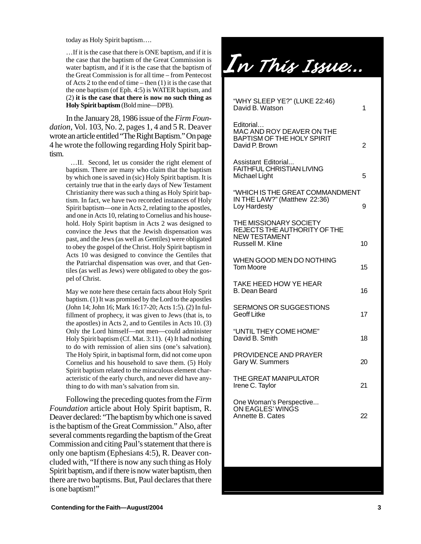today as Holy Spirit baptism….

…If it is the case that there is ONE baptism, and if it is the case that the baptism of the Great Commission is water baptism, and if it is the case that the baptism of the Great Commission is for all time – from Pentecost of Acts 2 to the end of time – then (1) it is the case that the one baptism (of Eph. 4:5) is WATER baptism, and (2) **it is the case that there is now no such thing as Holy Spirit baptism** (Bold mine—DPB).

In the January 28, 1986 issue of the *Firm Foundation*, Vol. 103, No. 2, pages 1, 4 and 5 R. Deaver wrote an article entitled "The Right Baptism." On page 4 he wrote the following regarding Holy Spirit baptism.

> …II. Second, let us consider the right element of baptism. There are many who claim that the baptism by which one is saved in (sic) Holy Spirit baptism. It is certainly true that in the early days of New Testament Christianity there was such a thing as Holy Spirit baptism. In fact, we have two recorded instances of Holy Spirit baptism—one in Acts 2, relating to the apostles, and one in Acts 10, relating to Cornelius and his household. Holy Spirit baptism in Acts 2 was designed to convince the Jews that the Jewish dispensation was past, and the Jews (as well as Gentiles) were obligated to obey the gospel of the Christ. Holy Spirit baptism in Acts 10 was designed to convince the Gentiles that the Patriarchal dispensation was over, and that Gentiles (as well as Jews) were obligated to obey the gospel of Christ.

> May we note here these certain facts about Holy Sprit baptism. (1) It was promised by the Lord to the apostles (John 14; John 16; Mark 16:17-20; Acts 1:5). (2) In fulfillment of prophecy, it was given to Jews (that is, to the apostles) in Acts 2, and to Gentiles in Acts 10. (3) Only the Lord himself—not men—could administer Holy Spirit baptism (Cf. Mat. 3:11). (4) It had nothing to do with remission of alien sins (one's salvation). The Holy Spirit, in baptismal form, did not come upon Cornelius and his household to save them. (5) Holy Spirit baptism related to the miraculous element characteristic of the early church, and never did have anything to do with man's salvation from sin.

Following the preceding quotes from the *Firm Foundation* article about Holy Spirit baptism, R. Deaver declared: "The baptism by which one is saved is the baptism of the Great Commission." Also, after several comments regarding the baptism of the Great Commission and citing Paul's statement that there is only one baptism (Ephesians 4:5), R. Deaver concluded with, "If there is now any such thing as Holy Spirit baptism, and if there is now water baptism, then there are two baptisms. But, Paul declares that there is one baptism!"

In This Issue ...

| "WHY SLEEP YE?" (LUKE 22:46)<br>David B. Watson                                                    | 1  |
|----------------------------------------------------------------------------------------------------|----|
| Editorial<br>MAC AND ROY DEAVER ON THE<br>BAPTISM OF THE HOLY SPIRIT<br>David P. Brown             | 2  |
| Assistant Editorial<br><b>FAITHFUL CHRISTIAN LIVING</b><br>Michael Light                           | 5  |
| "WHICH IS THE GREAT COMMANDMENT<br>IN THE LAW?" (Matthew 22:36)<br>Loy Hardesty                    | 9  |
| THE MISSIONARY SOCIETY<br>REJECTS THE AUTHORITY OF THE<br><b>NEW TESTAMENT</b><br>Russell M. Kline | 10 |
| WHEN GOOD MEN DO NOTHING<br><b>Tom Moore</b>                                                       | 15 |
| TAKE HEED HOW YE HEAR<br><b>B. Dean Beard</b>                                                      | 16 |
| <b>SERMONS OR SUGGESTIONS</b><br><b>Geoff Litke</b>                                                | 17 |
| "UNTIL THEY COME HOME"<br>David B. Smith                                                           | 18 |
| PROVIDENCE AND PRAYER<br>Gary W. Summers                                                           | 20 |
| THE GREAT MANIPULATOR<br>Irene C. Taylor                                                           | 21 |
| One Woman's Perspective<br>ON EAGLES' WINGS<br>Annette B. Cates                                    | 22 |
|                                                                                                    |    |
|                                                                                                    |    |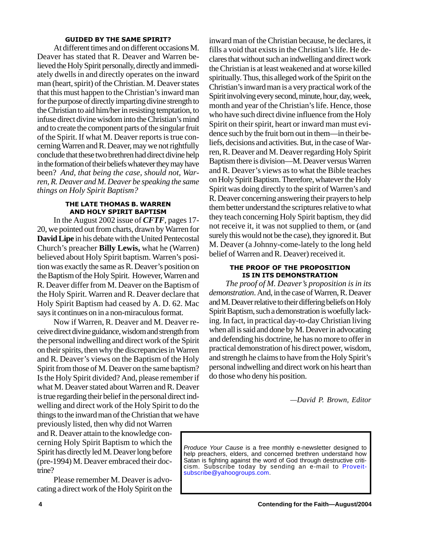### GUIDED BY THE SAME SPIRIT?

At different times and on different occasions M. Deaver has stated that R. Deaver and Warren believed the Holy Spirit personally, directly and immediately dwells in and directly operates on the inward man (heart, spirit) of the Christian. M. Deaver states that this must happen to the Christian's inward man for the purpose of directly imparting divine strength to the Christian to aid him/her in resisting temptation, to infuse direct divine wisdom into the Christian's mind and to create the component parts of the singular fruit of the Spirit. If what M. Deaver reports is true concerning Warren and R. Deaver, may we not rightfully conclude that these two brethren had direct divine help in the formation of their beliefs whatever they may have been? *And, that being the case, should not, Warren, R. Deaver and M. Deaver be speaking the same things on Holy Spirit Baptism?*

### THE LATE THOMAS B. WARREN AND HOLY SPIRIT BAPTISM

In the August 2002 issue of *CFTF*, pages 17- 20, we pointed out from charts, drawn by Warren for **David Lipe** in his debate with the United Pentecostal Church's preacher **Billy Lewis,** what he (Warren) believed about Holy Spirit baptism. Warren's position was exactly the same as R. Deaver's position on the Baptism of the Holy Spirit. However, Warren and R. Deaver differ from M. Deaver on the Baptism of the Holy Spirit. Warren and R. Deaver declare that Holy Spirit Baptism had ceased by A. D. 62. Mac says it continues on in a non-miraculous format.

Now if Warren, R. Deaver and M. Deaver receive direct divine guidance, wisdom and strength from the personal indwelling and direct work of the Spirit on their spirits, then why the discrepancies in Warren and R. Deaver's views on the Baptism of the Holy Spirit from those of M. Deaver on the same baptism? Is the Holy Spirit divided? And, please remember if what M. Deaver stated about Warren and R. Deaver is true regarding their belief in the personal direct indwelling and direct work of the Holy Spirit to do the things to the inward man of the Christian that we have

previously listed, then why did not Warren and R. Deaver attain to the knowledge concerning Holy Spirit Baptism to which the Spirit has directly led M. Deaver long before (pre-1994) M. Deaver embraced their doctrine?

Please remember M. Deaver is advocating a direct work of the Holy Spirit on the inward man of the Christian because, he declares, it fills a void that exists in the Christian's life. He declares that without such an indwelling and direct work the Christian is at least weakened and at worse killed spiritually. Thus, this alleged work of the Spirit on the Christian's inward man is a very practical work of the Spirit involving every second, minute, hour, day, week, month and year of the Christian's life. Hence, those who have such direct divine influence from the Holy Spirit on their spirit, heart or inward man must evidence such by the fruit born out in them—in their beliefs, decisions and activities. But, in the case of Warren, R. Deaver and M. Deaver regarding Holy Spirit Baptism there is division—M. Deaver versus Warren and R. Deaver's views as to what the Bible teaches on Holy Spirit Baptism. Therefore, whatever the Holy Spirit was doing directly to the spirit of Warren's and R. Deaver concerning answering their prayers to help them better understand the scriptures relative to what they teach concerning Holy Spirit baptism, they did not receive it, it was not supplied to them, or (and surely this would not be the case), they ignored it. But M. Deaver (a Johnny-come-lately to the long held belief of Warren and R. Deaver) received it.

### THE PROOF OF THE PROPOSITION IS IN ITS DEMONSTRATION

*The proof of M. Deaver's proposition is in its demonstration*. And, in the case of Warren, R. Deaver and M. Deaver relative to their differing beliefs on Holy Spirit Baptism, such a demonstration is woefully lacking. In fact, in practical day-to-day Christian living when all is said and done by M. Deaver in advocating and defending his doctrine, he has no more to offer in practical demonstration of his direct power, wisdom, and strength he claims to have from the Holy Spirit's personal indwelling and direct work on his heart than do those who deny his position.

*—David P. Brown, Editor*

*Produce Your Cause* is a free monthly e-newsletter designed to help preachers, elders, and concerned brethren understand how Satan is fighting against the word of God through destructive criticism. Subscribe today by sending an e-mail to Proveitsubscribe@yahoogroups.com.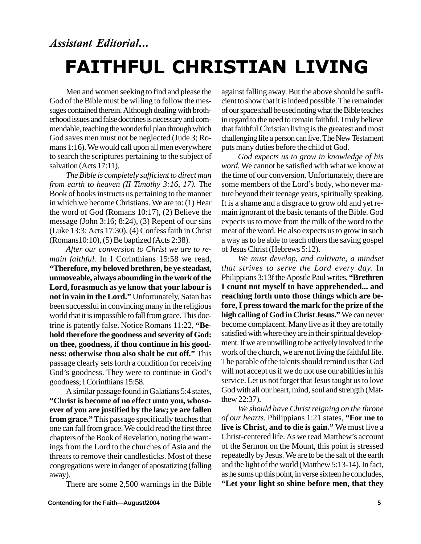### Assistant Editorial... FAITHFUL CHRISTIAN LIVING

Men and women seeking to find and please the God of the Bible must be willing to follow the messages contained therein. Although dealing with brotherhood issues and false doctrines is necessary and commendable, teaching the wonderful plan through which God saves men must not be neglected (Jude 3; Romans 1:16). We would call upon all men everywhere to search the scriptures pertaining to the subject of salvation (Acts 17:11).

*The Bible is completely sufficient to direct man from earth to heaven (II Timothy 3:16, 17).* The Book of books instructs us pertaining to the manner in which we become Christians. We are to: (1) Hear the word of God (Romans 10:17), (2) Believe the message (John 3:16; 8:24), (3) Repent of our sins (Luke 13:3; Acts 17:30), (4) Confess faith in Christ (Romans10:10), (5) Be baptized (Acts 2:38).

*After our conversion to Christ we are to remain faithful.* In I Corinthians 15:58 we read, **"Therefore, my beloved brethren, be ye steadast, unmoveable, always abounding in the work of the Lord, forasmuch as ye know that your labour is not in vain in the Lord."** Unfortunately, Satan has been successful in convincing many in the religious world that it is impossible to fall from grace. This doctrine is patently false. Notice Romans 11:22, **"Behold therefore the goodness and severity of God: on thee, goodness, if thou continue in his goodness: otherwise thou also shalt be cut off."** This passage clearly sets forth a condition for receiving God's goodness. They were to continue in God's goodness; I Corinthians 15:58.

A similar passage found in Galatians 5:4 states, **"Christ is become of no effect unto you, whosoever of you are justified by the law; ye are fallen from grace."** This passage specifically teaches that one can fall from grace. We could read the first three chapters of the Book of Revelation, noting the warnings from the Lord to the churches of Asia and the threats to remove their candlesticks. Most of these congregations were in danger of apostatizing (falling away).

There are some 2,500 warnings in the Bible

against falling away. But the above should be sufficient to show that it is indeed possible. The remainder of our space shall be used noting what the Bible teaches in regard to the need to remain faithful. I truly believe that faithful Christian living is the greatest and most challenging life a person can live. The New Testament puts many duties before the child of God.

*God expects us to grow in knowledge of his word.* We cannot be satisfied with what we know at the time of our conversion. Unfortunately, there are some members of the Lord's body, who never mature beyond their teenage years, spiritually speaking. It is a shame and a disgrace to grow old and yet remain ignorant of the basic tenants of the Bible. God expects us to move from the milk of the word to the meat of the word. He also expects us to grow in such a way as to be able to teach others the saving gospel of Jesus Christ (Hebrews 5:12).

*We must develop, and cultivate, a mindset that strives to serve the Lord every day.* In Philippians 3:13f the Apostle Paul writes, **"Brethren I count not myself to have apprehended... and reaching forth unto those things which are before, I press toward the mark for the prize of the high calling of God in Christ Jesus."** We can never become complacent. Many live as if they are totally satisfied with where they are in their spiritual development. If we are unwilling to be actively involved in the work of the church, we are not living the faithful life. The parable of the talents should remind us that God will not accept us if we do not use our abilities in his service. Let us not forget that Jesus taught us to love God with all our heart, mind, soul and strength (Matthew 22:37).

*We should have Christ reigning on the throne of our hearts.* Philippians 1:21 states, **"For me to live is Christ, and to die is gain."** We must live a Christ-centered life. As we read Matthew's account of the Sermon on the Mount, this point is stressed repeatedly by Jesus. We are to be the salt of the earth and the light of the world (Matthew 5:13-14). In fact, as he sums up this point, in verse sixteen he concludes, **"Let your light so shine before men, that they**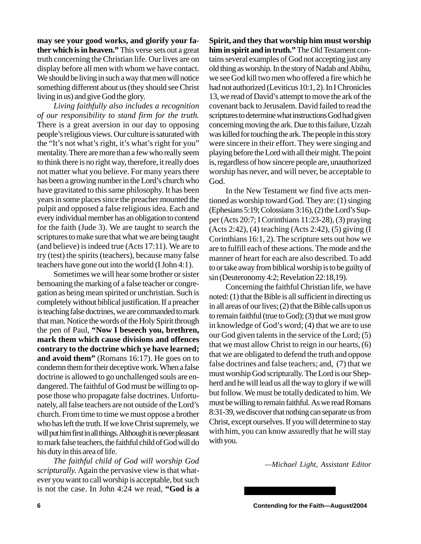**may see your good works, and glorify your father which is in heaven."** This verse sets out a great truth concerning the Christian life. Our lives are on display before all men with whom we have contact. We should be living in such a way that men will notice something different about us (they should see Christ living in us) and give God the glory.

*Living faithfully also includes a recognition of our responsibility to stand firm for the truth.* There is a great aversion in our day to opposing people's religious views. Our culture is saturated with the "It's not what's right, it's what's right for you" mentality. There are more than a few who really seem to think there is no right way, therefore, it really does not matter what you believe. For many years there has been a growing number in the Lord's church who have gravitated to this same philosophy. It has been years in some places since the preacher mounted the pulpit and opposed a false religious idea. Each and every individual member has an obligation to contend for the faith (Jude 3). We are taught to search the scriptures to make sure that what we are being taught (and believe) is indeed true (Acts 17:11). We are to try (test) the spirits (teachers), because many false teachers have gone out into the world (I John 4:1).

Sometimes we will hear some brother or sister bemoaning the marking of a false teacher or congregation as being mean spirited or unchristian. Such is completely without biblical justification. If a preacher is teaching false doctrines, we are commanded to mark that man. Notice the words of the Holy Spirit through the pen of Paul, **"Now I beseech you, brethren, mark them which cause divisions and offences contrary to the doctrine which ye have learned; and avoid them"** (Romans 16:17). He goes on to condemn them for their deceptive work. When a false doctrine is allowed to go unchallenged souls are endangered. The faithful of God must be willing to oppose those who propagate false doctrines. Unfortunately, all false teachers are not outside of the Lord's church. From time to time we must oppose a brother who has left the truth. If we love Christ supremely, we will put him first in all things. Although it is never pleasant to mark false teachers, the faithful child of God will do his duty in this area of life.

*The faithful child of God will worship God scripturally.* Again the pervasive view is that whatever you want to call worship is acceptable, but such is not the case. In John 4:24 we read, **"God is a** **Spirit, and they that worship him must worship him in spirit and in truth."** The Old Testament contains several examples of God not accepting just any old thing as worship. In the story of Nadab and Abihu, we see God kill two men who offered a fire which he had not authorized (Leviticus 10:1, 2). In I Chronicles 13, we read of David's attempt to move the ark of the covenant back to Jerusalem. David failed to read the scriptures to determine what instructions God had given concerning moving the ark. Due to this failure, Uzzah was killed for touching the ark. The people in this story were sincere in their effort. They were singing and playing before the Lord with all their might. The point is, regardless of how sincere people are, unauthorized worship has never, and will never, be acceptable to God.

In the New Testament we find five acts mentioned as worship toward God. They are: (1) singing (Ephesians 5:19; Colossians 3:16), (2) the Lord's Supper (Acts 20:7; I Corinthians 11:23-28), (3) praying (Acts 2:42), (4) teaching (Acts 2:42), (5) giving (I Corinthians 16:1, 2). The scripture sets out how we are to fulfill each of these actions. The mode and the manner of heart for each are also described. To add to or take away from biblical worship is to be guilty of sin (Deuteronomy 4:2; Revelation 22:18,19).

Concerning the faithful Christian life, we have noted: (1) that the Bible is all sufficient in directing us in all areas of our lives; (2) that the Bible calls upon us to remain faithful (true to God); (3) that we must grow in knowledge of God's word; (4) that we are to use our God given talents in the service of the Lord; (5) that we must allow Christ to reign in our hearts, (6) that we are obligated to defend the truth and oppose false doctrines and false teachers; and, (7) that we must worship God scripturally. The Lord is our Shepherd and he will lead us all the way to glory if we will but follow. We must be totally dedicated to him. We must be willing to remain faithful. As we read Romans 8:31-39, we discover that nothing can separate us from Christ, except ourselves. If you will determine to stay with him, you can know assuredly that he will stay with you.

*—Michael Light, Assistant Editor*

**6 Contending for the Faith—August/2004**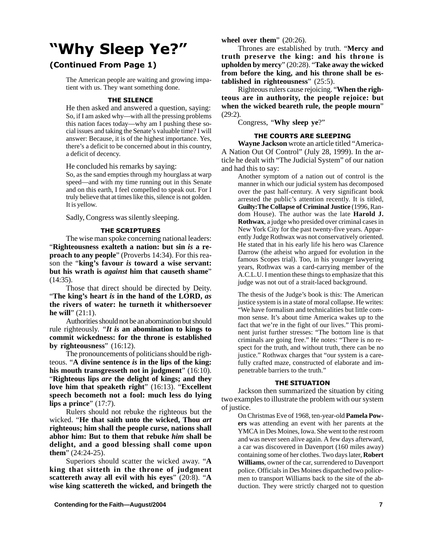### "Why Sleep Ye?"

### (Continued From Page 1)

The American people are waiting and growing impatient with us. They want something done.

### THE SILENCE

He then asked and answered a question, saying: So, if I am asked why—with all the pressing problems this nation faces today—why am I pushing these social issues and taking the Senate's valuable time? I will answer: Because, it is of the highest importance. Yes, there's a deficit to be concerned about in this country, a deficit of decency.

He concluded his remarks by saying:

So, as the sand empties through my hourglass at warp speed—and with my time running out in this Senate and on this earth, I feel compelled to speak out. For I truly believe that at times like this, silence is not golden. It is yellow.

Sadly, Congress was silently sleeping.

### THE SCRIPTURES

The wise man spoke concerning national leaders: "**Righteousness exalteth a nation: but sin** *is* **a reproach to any people**" (Proverbs 14:34). For this reason the "**king's favour** *is* **toward a wise servant: but his wrath is** *against* **him that causeth shame**" (14:35).

Those that direct should be directed by Deity. "**The king's heart** *is* **in the hand of the LORD,** *as* **the rivers of water: he turneth it whithersoever he will**" (21:1).

Authorities should not be an abomination but should rule righteously. *"It is* **an abomination to kings to commit wickedness: for the throne is established by righteousness**" (16:12).

The pronouncements of politicians should be righteous. "**A divine sentence** *is* **in the lips of the king: his mouth transgresseth not in judgment**" (16:10). "**Righteous lips** *are* **the delight of kings; and they love him that speaketh right**" (16:13). "**Excellent speech becometh not a fool: much less do lying lips a prince**" (17:7).

Rulers should not rebuke the righteous but the wicked. "**He that saith unto the wicked, Thou** *art* **righteous; him shall the people curse, nations shall abhor him: But to them that rebuke** *him* **shall be delight, and a good blessing shall come upon them**" (24:24-25).

Superiors should scatter the wicked away. "**A king that sitteth in the throne of judgment scattereth away all evil with his eyes**" (20:8). "**A wise king scattereth the wicked, and bringeth the**

**wheel over them**" (20:26).

Thrones are established by truth. "**Mercy and truth preserve the king: and his throne is upholden by mercy**" (20:28). "**Take away the wicked from before the king, and his throne shall be established in righteousness**" (25:5).

Righteous rulers cause rejoicing. "**When the righteous are in authority, the people rejoice: but when the wicked beareth rule, the people mourn**" (29:2).

Congress, "**Why sleep ye**?"

### THE COURTS ARE SLEEPING

**Wayne Jackson** wrote an article titled "America-A Nation Out Of Control" (July 28, 1999). In the article he dealt with "The Judicial System" of our nation and had this to say:

Another symptom of a nation out of control is the manner in which our judicial system has decomposed over the past half-century. A very significant book arrested the public's attention recently. It is titled, **Guilty:The Collapse of Criminal Justice** (1996, Random House). The author was the late **Harold J. Rothwax**, a judge who presided over criminal cases in New York City for the past twenty-five years. Apparently Judge Rothwax was not conservatively oriented. He stated that in his early life his hero was Clarence Darrow (the atheist who argued for evolution in the famous Scopes trial). Too, in his younger lawyering years, Rothwax was a card-carrying member of the A.C.L.U. I mention these things to emphasize that this judge was not out of a strait-laced background.

The thesis of the Judge's book is this: The American justice system is in a state of moral collapse. He writes: "We have formalism and technicalities but little common sense. It's about time America wakes up to the fact that we're in the fight of our lives." This prominent jurist further stresses: "The bottom line is that criminals are going free." He notes: "There is no respect for the truth, and without truth, there can be no justice." Rothwax charges that "our system is a carefully crafted maze, constructed of elaborate and impenetrable barriers to the truth."

### THE SITUATION

Jackson then summarized the situation by citing two examples to illustrate the problem with our system of justice.

On Christmas Eve of 1968, ten-year-old **Pamela Powers** was attending an event with her parents at the YMCA in Des Moines, Iowa. She went to the rest room and was never seen alive again. A few days afterward, a car was discovered in Davenport (160 miles away) containing some of her clothes. Two days later, **Robert Williams**, owner of the car, surrendered to Davenport police. Officials in Des Moines dispatched two policemen to transport Williams back to the site of the abduction. They were strictly charged not to question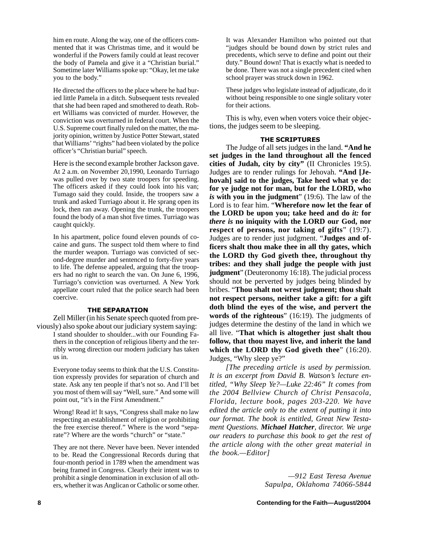him en route. Along the way, one of the officers commented that it was Christmas time, and it would be wonderful if the Powers family could at least recover the body of Pamela and give it a "Christian burial." Sometime later Williams spoke up: "Okay, let me take you to the body."

He directed the officers to the place where he had buried little Pamela in a ditch. Subsequent tests revealed that she had been raped and smothered to death. Robert Williams was convicted of murder. However, the conviction was overturned in federal court. When the U.S. Supreme court finally ruled on the matter, the majority opinion, written by Justice Potter Stewart, stated that Williams' "rights" had been violated by the police officer's "Christian burial" speech.

Here is the second example brother Jackson gave. At 2 a.m. on November 20,1990, Leonardo Turriago was pulled over by two state troopers for speeding. The officers asked if they could look into his van; Tumago said they could. Inside, the troopers saw a trunk and asked Turriago about it. He sprang open its lock, then ran away. Opening the trunk, the troopers found the body of a man shot five times. Turriago was caught quickly.

In his apartment, police found eleven pounds of cocaine and guns. The suspect told them where to find the murder weapon. Turriago was convicted of second-degree murder and sentenced to forty-five years to life. The defense appealed, arguing that the troopers had no right to search the van. On June 6, 1996, Turriago's conviction was overturned. A New York appellate court ruled that the police search had been coercive.

### THE SEPARATION

Zell Miller (in his Senate speech quoted from previously) also spoke about our judiciary system saying: I stand shoulder to shoulder...with our Founding Fathers in the conception of religious liberty and the terribly wrong direction our modern judiciary has taken us in.

Everyone today seems to think that the U.S. Constitution expressly provides for separation of church and state. Ask any ten people if that's not so. And I'll bet you most of them will say "Well, sure." And some will point out, "it's in the First Amendment."

Wrong! Read it! It says, "Congress shall make no law respecting an establishment of religion or prohibiting the free exercise thereof." Where is the word "separate"? Where are the words "church" or "state."

They are not there. Never have been. Never intended to be. Read the Congressional Records during that four-month period in 1789 when the amendment was being framed in Congress. Clearly their intent was to prohibit a single denomination in exclusion of all others, whether it was Anglican or Catholic or some other. It was Alexander Hamilton who pointed out that "judges should be bound down by strict rules and precedents, which serve to define and point out their duty." Bound down! That is exactly what is needed to be done. There was not a single precedent cited when school prayer was struck down in 1962.

These judges who legislate instead of adjudicate, do it without being responsible to one single solitary voter for their actions.

This is why, even when voters voice their objections, the judges seem to be sleeping.

### THE SCRIPTURES

The Judge of all sets judges in the land. **"And he set judges in the land throughout all the fenced cities of Judah, city by city"** (II Chronicles 19:5). Judges are to render rulings for Jehovah. **"And [Jehovah] said to the judges, Take heed what ye do: for ye judge not for man, but for the LORD, who** *is* **with you in the judgment**" (19:6). The law of the Lord is to fear him. "**Wherefore now let the fear of the LORD be upon you; take heed and do** *it:* **for** *there is* **no iniquity with the LORD our God, nor respect of persons, nor taking of gifts**" (19:7). Judges are to render just judgment. "**Judges and officers shalt thou make thee in all thy gates, which the LORD thy God giveth thee, throughout thy tribes: and they shall judge the people with just judgment**" (Deuteronomy 16:18). The judicial process should not be perverted by judges being blinded by bribes. "**Thou shalt not wrest judgment; thou shalt not respect persons, neither take a gift: for a gift doth blind the eyes of the wise, and pervert the words of the righteous**" (16:19). The judgments of judges determine the destiny of the land in which we all live. "**That which is altogether just shalt thou follow, that thou mayest live, and inherit the land which the LORD thy God giveth thee**" (16:20). Judges, "Why sleep ye?"

*[The preceding article is used by permission. It is an excerpt from David B. Watson's lecture entitled, "Why Sleep Ye?—Luke 22:46" It comes from the 2004 Bellview Church of Christ Pensacola, Florida, lecture book, pages 203-220. We have edited the article only to the extent of putting it into our format. The book is entitled, Great New Testament Questions. Michael Hatcher, director. We urge our readers to purchase this book to get the rest of the article along with the other great material in the book.—Editor]*

> *—912 East Teresa Avenue Sapulpa, Oklahoma 74066-5844*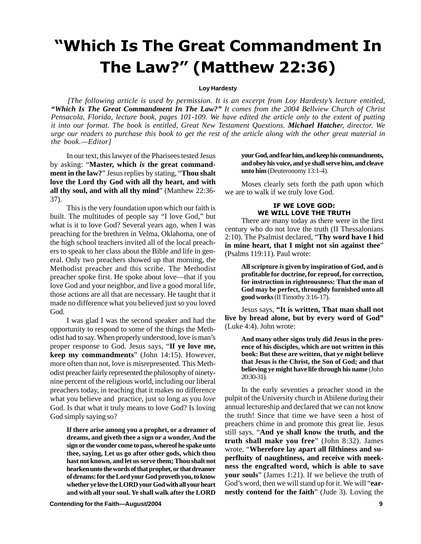### "Which Is The Great Commandment In The Law?" (Matthew 22:36)

### **Loy Hardesty**

*[The following article is used by permission. It is an excerpt from Loy Hardesty's lecture entitled, "Which Is The Great Commandment In The Law?" It comes from the 2004 Bellview Church of Christ Pensacola, Florida, lecture book, pages 101-109. We have edited the article only to the extent of putting it into our format. The book is entitled, Great New Testament Questions. Michael Hatcher, director. We urge our readers to purchase this book to get the rest of the article along with the other great material in the book.—Editor]*

In our text, this lawyer of the Pharisees tested Jesus by asking: "**Master, which** *is* **the great commandment in the law?**" Jesus replies by stating, "**Thou shalt love the Lord thy God with all thy heart, and with all thy soul, and with all thy mind**" (Matthew 22:36- 37).

This is the very foundation upon which our faith is built. The multitudes of people say "I love God," but what is it to love God? Several years ago, when I was preaching for the brethren in Velma, Oklahoma, one of the high school teachers invited all of the local preachers to speak to her class about the Bible and life in general. Only two preachers showed up that morning, the Methodist preacher and this scribe. The Methodist preacher spoke first. He spoke about love—that if you love God and your neighbor, and live a good moral life, those actions are all that are necessary. He taught that it made no difference what you believed just so you loved God.

I was glad I was the second speaker and had the opportunity to respond to some of the things the Methodist had to say. When properly understood, love is man's proper response to God. Jesus says, "**If ye love me, keep my commandments**" (John 14:15). However, more often than not, love is misrepresented. This Methodist preacher fairly represented the philosophy of ninetynine percent of the religious world, including our liberal preachers today, in teaching that it makes no difference what you believe and practice, just so long as you *love* God. Is that what it truly means to love God? Is loving God simply saying so?

**If there arise among you a prophet, or a dreamer of dreams, and giveth thee a sign or a wonder, And the sign or the wonder come to pass, whereof he spake unto thee, saying, Let us go after other gods, which thou hast not known, and let us serve them; Thou shalt not hearken unto the words of that prophet, or that dreamer of dreams: for the Lord your God proveth you, to know whether ye love the LORD your God with all your heart and with all your soul. Ye shall walk after the LORD**

**Contending for the Faith—August/2004 9**

**your God, and fear him, and keep his commandments, and obey his voice, and ye shall serve him, and cleave unto him** (Deuteronomy 13:1-4).

Moses clearly sets forth the path upon which we are to walk if we truly love God.

### IF WE LOVE GOD: WE WILL LOVE THE TRUTH

There are many today as there were in the first century who do not love the truth (II Thessalonians 2:10). The Psalmist declared, "**Thy word have I hid in mine heart, that I might not sin against thee**" (Psalms 119:11). Paul wrote:

> **All scripture** *is* **given by inspiration of God, and** *is* **profitable for doctrine, for reproof, for correction, for instruction in righteousness: That the man of God may be perfect, throughly furnished unto all good works** (II Timothy 3:16-17).

Jesus says, **"It is written, That man shall not live by bread alone, but by every word of God"** (Luke 4:4). John wrote:

> **And many other signs truly did Jesus in the presence of his disciples, which are not written in this book: But these are written, that ye might believe that Jesus is the Christ, the Son of God; and that believing ye might have life through his name** (John 20:30-31).

In the early seventies a preacher stood in the pulpit of the University church in Abilene during their annual lectureship and declared that we can not know the truth! Since that time we have seen a host of preachers chime in and promote this great lie. Jesus still says, "**And ye shall know the truth, and the truth shall make you free**" (John 8:32). James wrote, "**Wherefore lay apart all filthiness and superfluity of naughtiness, and receive with meekness the engrafted word, which is able to save** your souls" (James 1:21). If we believe the truth of God's word, then we will stand up for it. We will "**earnestly contend for the faith**" (Jude 3). Loving the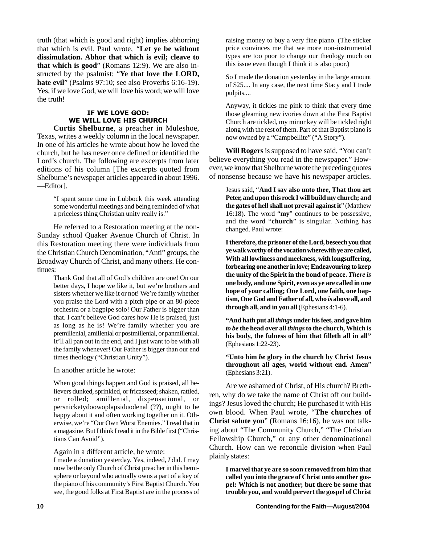truth (that which is good and right) implies abhorring that which is evil. Paul wrote, *"***Let ye be without dissimulation. Abhor that which is evil; cleave to that which is good**" (Romans 12:9). We are also instructed by the psalmist: "**Ye that love the LORD, hate evil**" (Psalms 97:10; see also Proverbs 6:16-19). Yes, if we love God, we will love his word; we will love the truth!

### IF WE LOVE GOD: WE WILL LOVE HIS CHURCH

**Curtis Shelburne**, a preacher in Muleshoe, Texas, writes a weekly column in the local newspaper. In one of his articles he wrote about how he loved the church, but he has never once defined or identified the Lord's church. The following are excerpts from later editions of his column [The excerpts quoted from Shelburne's newspaper articles appeared in about 1996. —Editor].

> "I spent some time in Lubbock this week attending some wonderful meetings and being reminded of what a priceless thing Christian unity really is."

He referred to a Restoration meeting at the non-Sunday school Quaker Avenue Church of Christ. In this Restoration meeting there were individuals from the Christian Church Denomination, "Anti" groups, the Broadway Church of Christ, and many others. He continues:

> Thank God that all of God's children are one! On our better days, I hope we like it, but we're brothers and sisters whether we like it or not! We're family whether you praise the Lord with a pitch pipe or an 80-piece orchestra or a bagpipe solo! Our Father is bigger than that. I can't believe God cares how He is praised, just as long as he is! We're family whether you are premillenial, amillenial or postmillenial, or panmillenial. It'll all pan out in the end, and I just want to be with all the family whenever! Our Father is bigger than our end times theology ("Christian Unity").

In another article he wrote:

When good things happen and God is praised, all believers dunked, sprinkled, or fricasseed; shaken, rattled, or rolled; amillenial, dispensational, or persnicketydoowoplapsiduodenal (??), ought to be happy about it and often working together on it. Otherwise, we're "Our Own Worst Enemies." I read that in a magazine. But I think I read it in the Bible first ("Christians Can Avoid").

Again in a different article, he wrote:

I made a donation yesterday. Yes, indeed, *I* did. I may now be the only Church of Christ preacher in this hemisphere or beyond who actually owns a part of a key of the piano of his community's First Baptist Church. You see, the good folks at First Baptist are in the process of

raising money to buy a very fine piano. (The sticker price convinces me that we more non-instrumental types are too poor to change our theology much on this issue even though I think it is also poor.)

So I made the donation yesterday in the large amount of \$25.... In any case, the next time Stacy and I trade pulpits....

Anyway, it tickles me pink to think that every time those gleaming new ivories down at the First Baptist Church are tickled, my minor key will be tickled right along with the rest of them. Part of that Baptist piano is now owned by a "Campbellite" ("A Story").

**Will Rogers** is supposed to have said, "You can't believe everything you read in the newspaper." However, we know that Shelburne wrote the preceding quotes of nonsense because we have his newspaper articles.

> Jesus said, "**And I say also unto thee, That thou art Peter, and upon this rock I will build my church; and the gates of hell shall not prevail against it**" (Matthew 16:18). The word "**my**" continues to be possessive, and the word "**church**" is singular. Nothing has changed. Paul wrote:

> **I therefore, the prisoner of the Lord, beseech you that ye walk worthy of the vocation wherewith ye are called, With all lowliness and meekness, with longsuffering, forbearing one another in love; Endeavouring to keep the unity of the Spirit in the bond of peace.** *There is* **one body, and one Spirit, even as ye are called in one hope of your calling; One Lord, one faith, one baptism, One God and Father of all, who** *is* **above all, and through all, and in you all** (Ephesians 4:1-6).

> **"And hath put all** *things* **under his feet, and gave him** *to be* **the head over all** *things* **to the church, Which is his body, the fulness of him that filleth all in all"** (Ephesians 1:22-23).

> **"Unto him** *be* **glory in the church by Christ Jesus throughout all ages, world without end. Amen**" (Ephesians 3:21).

Are we ashamed of Christ, of His church? Brethren, why do we take the name of Christ off our buildings? Jesus loved the church; He purchased it with His own blood. When Paul wrote, "**The churches of Christ salute you**" (Romans 16:16), he was not talking about "The Community Church," "The Christian Fellowship Church," or any other denominational Church. How can we reconcile division when Paul plainly states:

**I marvel that ye are so soon removed from him that called you into the grace of Christ unto another gospel: Which is not another; but there be some that trouble you, and would pervert the gospel of Christ**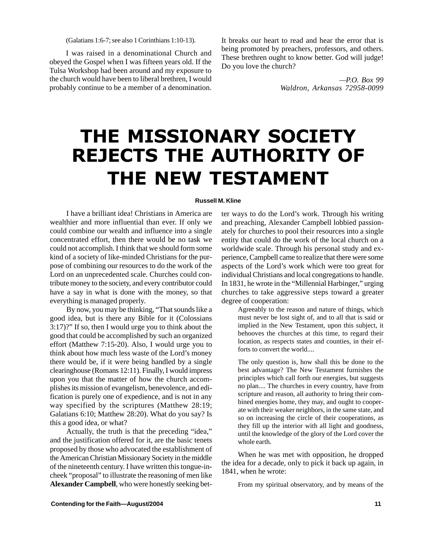(Galatians 1:6-7; see also 1 Corinthians 1:10-13).

I was raised in a denominational Church and obeyed the Gospel when I was fifteen years old. If the Tulsa Workshop had been around and my exposure to the church would have been to liberal brethren, I would probably continue to be a member of a denomination. It breaks our heart to read and hear the error that is being promoted by preachers, professors, and others. These brethren ought to know better. God will judge! Do you love the church?

> *—P.O. Box 99 Waldron, Arkansas 72958-0099*

## THE MISSIONARY SOCIETY REJECTS THE AUTHORITY OF THE NEW TESTAMENT

### **Russell M. Kline**

I have a brilliant idea! Christians in America are wealthier and more influential than ever. If only we could combine our wealth and influence into a single concentrated effort, then there would be no task we could not accomplish. I think that we should form some kind of a society of like-minded Christians for the purpose of combining our resources to do the work of the Lord on an unprecedented scale. Churches could contribute money to the society, and every contributor could have a say in what is done with the money, so that everything is managed properly.

By now, you may be thinking, "That sounds like a good idea, but is there any Bible for it (Colossians 3:17)?" If so, then I would urge you to think about the good that could be accomplished by such an organized effort (Matthew 7:15-20). Also, I would urge you to think about how much less waste of the Lord's money there would be, if it were being handled by a single clearinghouse (Romans 12:11). Finally, I would impress upon you that the matter of how the church accomplishes its mission of evangelism, benevolence, and edification is purely one of expedience, and is not in any way specified by the scriptures (Matthew 28:19; Galatians 6:10; Matthew 28:20). What do you say? Is this a good idea, or what?

Actually, the truth is that the preceding "idea," and the justification offered for it, are the basic tenets proposed by those who advocated the establishment of the American Christian Missionary Society in the middle of the nineteenth century. I have written this tongue-incheek "proposal" to illustrate the reasoning of men like **Alexander Campbell**, who were honestly seeking bet-

ter ways to do the Lord's work. Through his writing and preaching, Alexander Campbell lobbied passionately for churches to pool their resources into a single entity that could do the work of the local church on a worldwide scale. Through his personal study and experience, Campbell came to realize that there were some aspects of the Lord's work which were too great for individual Christians and local congregations to handle. In 1831, he wrote in the "Millennial Harbinger," urging churches to take aggressive steps toward a greater degree of cooperation:

Agreeably to the reason and nature of things, which must never be lost sight of, and to all that is said or implied in the New Testament, upon this subject, it behooves the churches at this time, to regard their location, as respects states and counties, in their efforts to convert the world....

The only question is, how shall this be done to the best advantage? The New Testament furnishes the principles which call forth our energies, but suggests no plan.... The churches in every country, have from scripture and reason, all authority to bring their combined energies home, they may, and ought to cooperate with their weaker neighbors, in the same state, and so on increasing the circle of their cooperations, as they fill up the interior with all light and goodness, until the knowledge of the glory of the Lord cover the whole earth.

When he was met with opposition, he dropped the idea for a decade, only to pick it back up again, in 1841, when he wrote:

From my spiritual observatory, and by means of the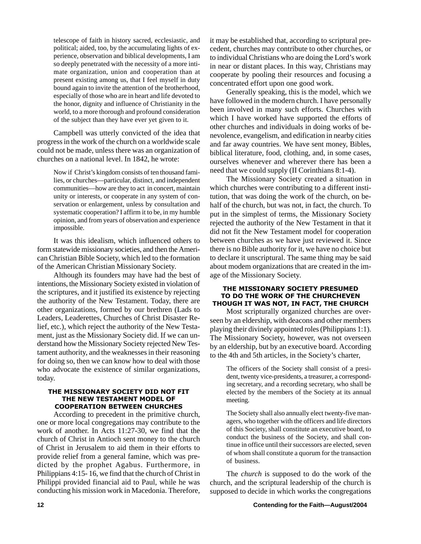telescope of faith in history sacred, ecclesiastic, and political; aided, too, by the accumulating lights of experience, observation and biblical developments, I am so deeply penetrated with the necessity of a more intimate organization, union and cooperation than at present existing among us, that I feel myself in duty bound again to invite the attention of the brotherhood, especially of those who are in heart and life devoted to the honor, dignity and influence of Christianity in the world, to a more thorough and profound consideration of the subject than they have ever yet given to it.

Campbell was utterly convicted of the idea that progress in the work of the church on a worldwide scale could not be made, unless there was an organization of churches on a national level. In 1842, he wrote:

Now if Christ's kingdom consists of ten thousand families, or churches—particular, distinct, and independent communities—how are they to act in concert, maintain unity or interests, or cooperate in any system of conservation or enlargement, unless by consultation and systematic cooperation? I affirm it to be, in my humble opinion, and from years of observation and experience impossible.

It was this idealism, which influenced others to form statewide missionary societies, and then the American Christian Bible Society, which led to the formation of the American Christian Missionary Society.

Although its founders may have had the best of intentions, the Missionary Society existed in violation of the scriptures, and it justified its existence by rejecting the authority of the New Testament. Today, there are other organizations, formed by our brethren (Lads to Leaders, Leaderettes, Churches of Christ Disaster Relief, etc.), which reject the authority of the New Testament, just as the Missionary Society did. If we can understand how the Missionary Society rejected New Testament authority, and the weaknesses in their reasoning for doing so, then we can know how to deal with those who advocate the existence of similar organizations, today.

### THE MISSIONARY SOCIETY DID NOT FIT THE NEW TESTAMENT MODEL OF COOPERATION BETWEEN CHURCHES

According to precedent in the primitive church, one or more local congregations may contribute to the work of another. In Acts 11:27-30, we find that the church of Christ in Antioch sent money to the church of Christ in Jerusalem to aid them in their efforts to provide relief from a general famine, which was predicted by the prophet Agabus. Furthermore, in Philippians 4:15- 16, we find that the church of Christ in Philippi provided financial aid to Paul, while he was conducting his mission work in Macedonia. Therefore,

it may be established that, according to scriptural precedent, churches may contribute to other churches, or to individual Christians who are doing the Lord's work in near or distant places. In this way, Christians may cooperate by pooling their resources and focusing a concentrated effort upon one good work.

Generally speaking, this is the model, which we have followed in the modern church. I have personally been involved in many such efforts. Churches with which I have worked have supported the efforts of other churches and individuals in doing works of benevolence, evangelism, and edification in nearby cities and far away countries. We have sent money, Bibles, biblical literature, food, clothing, and, in some cases, ourselves whenever and wherever there has been a need that we could supply (II Corinthians 8:1-4).

The Missionary Society created a situation in which churches were contributing to a different institution, that was doing the work of the church, on behalf of the church, but was not, in fact, the church. To put in the simplest of terms, the Missionary Society rejected the authority of the New Testament in that it did not fit the New Testament model for cooperation between churches as we have just reviewed it. Since there is no Bible authority for it, we have no choice but to declare it unscriptural. The same thing may be said about modem organizations that are created in the image of the Missionary Society.

### THE MISSIONARY SOCIETY PRESUMED TO DO THE WORK OF THE CHURCHEVEN THOUGH IT WAS NOT, IN FACT, THE CHURCH

Most scripturally organized churches are overseen by an eldership, with deacons and other members playing their divinely appointed roles (Philippians 1:1). The Missionary Society, however, was not overseen by an eldership, but by an executive board. According to the 4th and 5th articles, in the Society's charter,

> The officers of the Society shall consist of a president, twenty vice-presidents, a treasurer, a corresponding secretary, and a recording secretary, who shall be elected by the members of the Society at its annual meeting.

> The Society shall also annually elect twenty-five managers, who together with the officers and life directors of this Society, shall constitute an executive board, to conduct the business of the Society, and shall continue in office until their successors are elected, seven of whom shall constitute a quorum for the transaction of business.

The *church* is supposed to do the work of the church, and the scriptural leadership of the church is supposed to decide in which works the congregations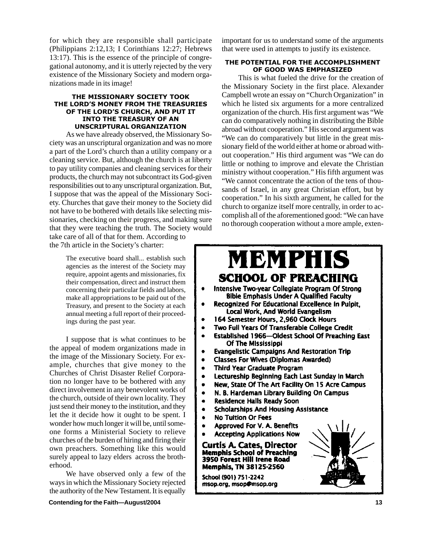for which they are responsible shall participate (Philippians 2:12,13; I Corinthians 12:27; Hebrews 13:17). This is the essence of the principle of congregational autonomy, and it is utterly rejected by the very existence of the Missionary Society and modern organizations made in its image!

### THE MISSIONARY SOCIETY TOOK THE LORD'S MONEY FROM THE TREASURIES OF THE LORD'S CHURCH, AND PUT IT INTO THE TREASURY OF AN UNSCRIPTURAL ORGANIZATION

As we have already observed, the Missionary Society was an unscriptural organization and was no more a part of the Lord's church than a utility company or a cleaning service. But, although the church is at liberty to pay utility companies and cleaning services for their products, the church may not subcontract its God-given responsibilities out to any unscriptural organization. But, I suppose that was the appeal of the Missionary Society. Churches that gave their money to the Society did not have to be bothered with details like selecting missionaries, checking on their progress, and making sure that they were teaching the truth. The Society would take care of all of that for them. According to

the 7th article in the Society's charter:

The executive board shall... establish such agencies as the interest of the Society may require, appoint agents and missionaries, fix their compensation, direct and instruct them concerning their particular fields and labors, make all appropriations to be paid out of the Treasury, and present to the Society at each annual meeting a full report of their proceedings during the past year.

I suppose that is what continues to be the appeal of modem organizations made in the image of the Missionary Society. For example, churches that give money to the Churches of Christ Disaster Relief Corporation no longer have to be bothered with any direct involvement in any benevolent works of the church, outside of their own locality. They just send their money to the institution, and they let the it decide how it ought to be spent. I wonder how much longer it will be, until someone forms a Ministerial Society to relieve churches of the burden of hiring and firing their own preachers. Something like this would surely appeal to lazy elders across the brotherhood.

We have observed only a few of the ways in which the Missionary Society rejected the authority of the New Testament. It is equally

important for us to understand some of the arguments that were used in attempts to justify its existence.

### THE POTENTIAL FOR THE ACCOMPLISHMENT OF GOOD WAS EMPHASIZED

This is what fueled the drive for the creation of the Missionary Society in the first place. Alexander Campbell wrote an essay on "Church Organization" in which he listed six arguments for a more centralized organization of the church. His first argument was "We can do comparatively nothing in distributing the Bible abroad without cooperation." His second argument was "We can do comparatively but little in the great missionary field of the world either at home or abroad without cooperation." His third argument was "We can do little or nothing to improve and elevate the Christian ministry without cooperation." His fifth argument was "We cannot concentrate the action of the tens of thousands of Israel, in any great Christian effort, but by cooperation." In his sixth argument, he called for the church to organize itself more centrally, in order to accomplish all of the aforementioned good: "We can have no thorough cooperation without a more ample, exten-

### MBMPHIS **SCHOOL OF PREACHING**

- Intensive Two-year Collegiate Program Of Strong **Bible Emphasis Under A Qualified Faculty**
- Recognized For Educational Excellence In Pulpit. Local Work, And World Evangelism
- 164 Semester Hours, 2.960 Clock Hours
- Two Full Years Of Transferable College Credit
- Established 1966-Oldest School Of Preaching East Of The Mississippi
- **Evangelistic Campaigns And Restoration Trip**
- **Classes For Wives (Diplomas Awarded)**  $\bullet$
- $\bullet$ **Third Year Graduate Program**
- Lectureship Beginning Each Last Sunday In March  $\bullet$
- New, State Of The Art Facility On 15 Acre Campus
- N. B. Hardeman Library Building On Campus  $\bullet$
- **Residence Halls Ready Soon**  $\bullet$
- **Scholarships And Housing Assistance**  $\bullet$
- **No Tuition Or Fees**  $\bullet$
- Approved For V. A. Benefits  $\bullet$
- **Accepting Applications Now**

Curtis A. Cates, Director **Memphis School of Preaching** 3950 Forest Hill Irene Road **Memphis, TN 38125-2560** 

School (901) 751-2242 msop.org, msop@msop.org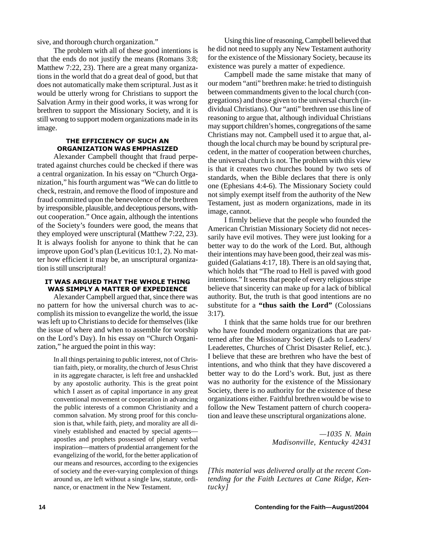sive, and thorough church organization."

The problem with all of these good intentions is that the ends do not justify the means (Romans 3:8; Matthew 7:22, 23). There are a great many organizations in the world that do a great deal of good, but that does not automatically make them scriptural. Just as it would be utterly wrong for Christians to support the Salvation Army in their good works, it was wrong for brethren to support the Missionary Society, and it is still wrong to support modern organizations made in its image.

### THE EFFICIENCY OF SUCH AN ORGANIZATION WAS EMPHASIZED

Alexander Campbell thought that fraud perpetrated against churches could be checked if there was a central organization. In his essay on "Church Organization," his fourth argument was "We can do little to check, restrain, and remove the flood of imposture and fraud committed upon the benevolence of the brethren by irresponsible, plausible, and deceptious persons, without cooperation." Once again, although the intentions of the Society's founders were good, the means that they employed were unscriptural (Matthew 7:22, 23). It is always foolish for anyone to think that he can improve upon God's plan (Leviticus 10:1, 2). No matter how efficient it may be, an unscriptural organization is still unscriptural!

### IT WAS ARGUED THAT THE WHOLE THING WAS SIMPLY A MATTER OF EXPEDIENCE

Alexander Campbell argued that, since there was no pattern for how the universal church was to accomplish its mission to evangelize the world, the issue was left up to Christians to decide for themselves (like the issue of where and when to assemble for worship on the Lord's Day). In his essay on "Church Organization," he argued the point in this way:

> In all things pertaining to public interest, not of Christian faith, piety, or morality, the church of Jesus Christ in its aggregate character, is left free and unshackled by any apostolic authority. This is the great point which I assert as of capital importance in any great conventional movement or cooperation in advancing the public interests of a common Christianity and a common salvation. My strong proof for this conclusion is that, while faith, piety, and morality are all divinely established and enacted by special agents apostles and prophets possessed of plenary verbal inspiration—matters of prudential arrangement for the evangelizing of the world, for the better application of our means and resources, according to the exigencies of society and the ever-varying complexion of things around us, are left without a single law, statute, ordinance, or enactment in the New Testament.

Using this line of reasoning, Campbell believed that he did not need to supply any New Testament authority for the existence of the Missionary Society, because its existence was purely a matter of expedience.

Campbell made the same mistake that many of our modem "anti" brethren make: he tried to distinguish between commandments given to the local church (congregations) and those given to the universal church (individual Christians). Our "anti" brethren use this line of reasoning to argue that, although individual Christians may support children's homes, congregations of the same Christians may not. Campbell used it to argue that, although the local church may be bound by scriptural precedent, in the matter of cooperation between churches, the universal church is not. The problem with this view is that it creates two churches bound by two sets of standards, when the Bible declares that there is only one (Ephesians 4:4-6). The Missionary Society could not simply exempt itself from the authority of the New Testament, just as modern organizations, made in its image, cannot.

I firmly believe that the people who founded the American Christian Missionary Society did not necessarily have evil motives. They were just looking for a better way to do the work of the Lord. But, although their intentions may have been good, their zeal was misguided (Galatians 4:17, 18). There is an old saying that, which holds that "The road to Hell is paved with good intentions." It seems that people of every religious stripe believe that sincerity can make up for a lack of biblical authority. But, the truth is that good intentions are no substitute for a **"thus saith the Lord"** (Colossians 3:17).

I think that the same holds true for our brethren who have founded modern organizations that are patterned after the Missionary Society (Lads to Leaders/ Leaderettes, Churches of Christ Disaster Relief, etc.). I believe that these are brethren who have the best of intentions, and who think that they have discovered a better way to do the Lord's work. But, just as there was no authority for the existence of the Missionary Society, there is no authority for the existence of these organizations either. Faithful brethren would be wise to follow the New Testament pattern of church cooperation and leave these unscriptural organizations alone.

> *—1035 N. Main Madisonville, Kentucky 42431*

*[This material was delivered orally at the recent Contending for the Faith Lectures at Cane Ridge, Kentucky]*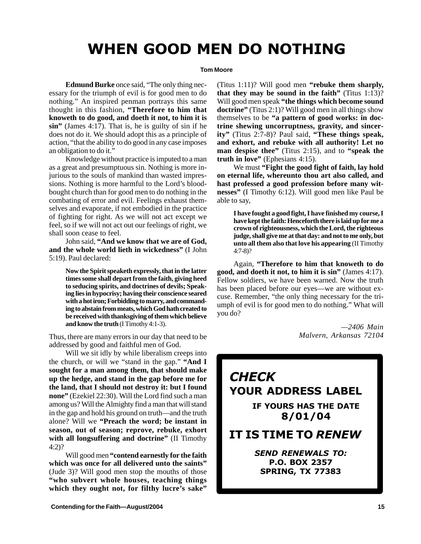### WHEN GOOD MEN DO NOTHING

### **Tom Moore**

**Edmund Burke** once said, "The only thing necessary for the triumph of evil is for good men to do nothing." An inspired penman portrays this same thought in this fashion, **"Therefore to him that knoweth to do good, and doeth it not, to him it is sin"** (James 4:17). That is, he is guilty of sin if he does not do it. We should adopt this as a principle of action, "that the ability to do good in any case imposes an obligation to do it."

Knowledge without practice is imputed to a man as a great and presumptuous sin. Nothing is more injurious to the souls of mankind than wasted impressions. Nothing is more harmful to the Lord's bloodbought church than for good men to do nothing in the combating of error and evil. Feelings exhaust themselves and evaporate, if not embodied in the practice of fighting for right. As we will not act except we feel, so if we will not act out our feelings of right, we shall soon cease to feel.

John said, **"And we know that we are of God, and the whole world lieth in wickedness"** (I John 5:19). Paul declared:

> **Now the Spirit speaketh expressly, that in the latter times some shall depart from the faith, giving heed to seducing spirits, and doctrines of devils; Speaking lies in hypocrisy; having their conscience seared with a hot iron; Forbidding to marry, and commanding to abstain from meats, which God hath created to be received with thanksgiving of them which believe and know the truth** (I Timothy 4:1-3).

Thus, there are many errors in our day that need to be addressed by good and faithful men of God.

Will we sit idly by while liberalism creeps into the church, or will we "stand in the gap." **"And I sought for a man among them, that should make up the hedge, and stand in the gap before me for the land, that I should not destroy it: but I found none"** (Ezekiel 22:30). Will the Lord find such a man among us? Will the Almighty find a man that will stand in the gap and hold his ground on truth—and the truth alone? Will we **"Preach the word; be instant in season, out of season; reprove, rebuke, exhort with all longsuffering and doctrine"** (II Timothy 4:2)?

Will good men **"contend earnestly for the faith which was once for all delivered unto the saints"** (Jude 3)? Will good men stop the mouths of those **"who subvert whole houses, teaching things which they ought not, for filthy lucre's sake"**

(Titus 1:11)? Will good men **"rebuke them sharply, that they may be sound in the faith"** (Titus 1:13)? Will good men speak **"the things which become sound doctrine"** (Titus 2:1)? Will good men in all things show themselves to be **"a pattern of good works: in doctrine shewing uncorruptness, gravity, and sincerity"** (Titus 2:7-8)? Paul said, **"These things speak, and exhort, and rebuke with all authority! Let no man despise thee"** (Titus 2:15), and to **"speak the truth in love"** (Ephesians 4:15).

We must **"Fight the good fight of faith, lay hold on eternal life, whereunto thou art also called, and hast professed a good profession before many witnesses"** (I Timothy 6:12). Will good men like Paul be able to say,

**I have fought a good fight, I have finished my course, I have kept the faith: Henceforth there is laid up for me a crown of righteousness, which the Lord, the righteous judge, shall give me at that day: and not to me only, but unto all them also that love his appearing** (II Timothy 4:7-8)?

Again, **"Therefore to him that knoweth to do good, and doeth it not, to him it is sin"** (James 4:17). Fellow soldiers, we have been warned. Now the truth has been placed before our eyes—we are without excuse. Remember, "the only thing necessary for the triumph of evil is for good men to do nothing." What will you do?

> *—2406 Main Malvern, Arkansas 72104*

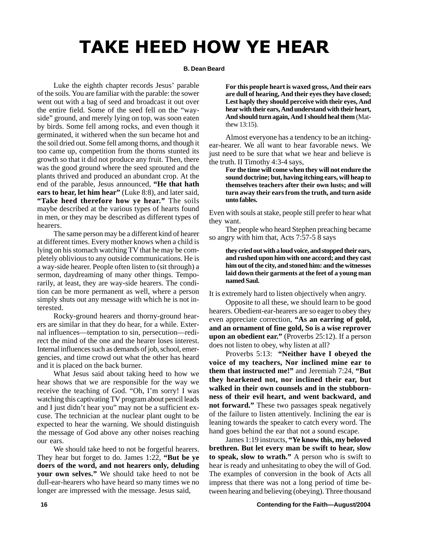## TAKE HEED HOW YE HEAR

### **B. Dean Beard**

Luke the eighth chapter records Jesus' parable of the soils. You are familiar with the parable: the sower went out with a bag of seed and broadcast it out over the entire field. Some of the seed fell on the "wayside" ground, and merely lying on top, was soon eaten by birds. Some fell among rocks, and even though it germinated, it withered when the sun became hot and the soil dried out. Some fell among thorns, and though it too came up, competition from the thorns stunted its growth so that it did not produce any fruit. Then, there was the good ground where the seed sprouted and the plants thrived and produced an abundant crop. At the end of the parable, Jesus announced, **"He that hath ears to hear, let him hear"** (Luke 8:8), and later said, **"Take heed therefore how ye hear."** The soils maybe described at the various types of hearts found in men, or they may be described as different types of hearers.

The same person may be a different kind of hearer at different times. Every mother knows when a child is lying on his stomach watching TV that he may be completely oblivious to any outside communications. He is a way-side hearer. People often listen to (sit through) a sermon, daydreaming of many other things. Temporarily, at least, they are way-side hearers. The condition can be more permanent as well, where a person simply shuts out any message with which he is not interested.

Rocky-ground hearers and thorny-ground hearers are similar in that they do hear, for a while. External influences—temptation to sin, persecution—redirect the mind of the one and the hearer loses interest. Internal influences such as demands of job, school, emergencies, and time crowd out what the other has heard and it is placed on the back burner.

What Jesus said about taking heed to how we hear shows that we are responsible for the way we receive the teaching of God. "Oh, I'm sorry! I was watching this captivating TV program about pencil leads and I just didn't hear you" may not be a sufficient excuse. The technician at the nuclear plant ought to be expected to hear the warning. We should distinguish the message of God above any other noises reaching our ears.

We should take heed to not be forgetful hearers. They hear but forget to do. James 1:22, **"But be ye doers of the word, and not hearers only, deluding your own selves."** We should take heed to not be dull-ear-hearers who have heard so many times we no longer are impressed with the message. Jesus said,

**For this people heart is waxed gross, And their ears are dull of hearing, And their eyes they have closed; Lest haply they should perceive with their eyes, And hear with their ears, And understand with their heart, And should turn again, And I should heal them** (Matthew 13:15).

Almost everyone has a tendency to be an itchingear-hearer. We all want to hear favorable news. We just need to be sure that what we hear and believe is the truth. II Timothy 4:3-4 says,

**For the time will come when they will not endure the sound doctrine; but, having itching ears, will heap to themselves teachers after their own lusts; and will turn away their ears from the truth, and turn aside unto fables.**

Even with souls at stake, people still prefer to hear what they want.

The people who heard Stephen preaching became so angry with him that, Acts 7:57-5 8 says

**they cried out with a loud voice, and stopped their ears, and rushed upon him with one accord; and they cast him out of the city, and stoned him: and the witnesses laid down their garments at the feet of a young man named Saul.**

It is extremely hard to listen objectively when angry.

Opposite to all these, we should learn to be good hearers. Obedient-ear-hearers are so eager to obey they even appreciate correction, **"As an earring of gold, and an ornament of fine gold, So is a wise reprover upon an obedient ear."** (Proverbs 25:12). If a person does not listen to obey, why listen at all?

Proverbs 5:13: **"Neither have I obeyed the voice of my teachers, Nor inclined mine ear to them that instructed me!"** and Jeremiah 7:24, **"But they hearkened not, nor inclined their ear, but walked in their own counsels and in the stubbornness of their evil heart, and went backward, and not forward."** These two passages speak negatively of the failure to listen attentively. Inclining the ear is leaning towards the speaker to catch every word. The hand goes behind the ear that not a sound escape.

James 1:19 instructs, **"Ye know this, my beloved brethren. But let every man be swift to hear, slow to speak, slow to wrath."** A person who is swift to hear is ready and unhesitating to obey the will of God. The examples of conversion in the book of Acts all impress that there was not a long period of time between hearing and believing (obeying). Three thousand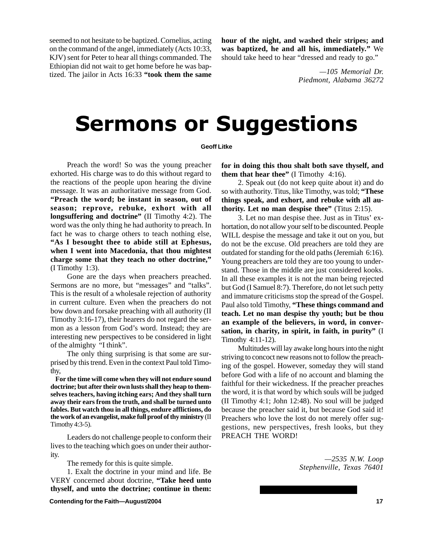seemed to not hesitate to be baptized. Cornelius, acting on the command of the angel, immediately (Acts 10:33, KJV) sent for Peter to hear all things commanded. The Ethiopian did not wait to get home before he was baptized. The jailor in Acts 16:33 **"took them the same** **hour of the night, and washed their stripes; and was baptized, he and all his, immediately."** We should take heed to hear "dressed and ready to go."

> *—105 Memorial Dr. Piedmont, Alabama 36272*

## **Sermons or Suggestions**

### **Geoff Litke**

Preach the word! So was the young preacher exhorted. His charge was to do this without regard to the reactions of the people upon hearing the divine message. It was an authoritative message from God. **"Preach the word; be instant in season, out of season; reprove, rebuke, exhort with all longsuffering and doctrine"** (II Timothy 4:2). The word was the only thing he had authority to preach. In fact he was to charge others to teach nothing else, **"As I besought thee to abide still at Ephesus, when I went into Macedonia, that thou mightest charge some that they teach no other doctrine,"** (I Timothy 1:3).

Gone are the days when preachers preached. Sermons are no more, but "messages" and "talks". This is the result of a wholesale rejection of authority in current culture. Even when the preachers do not bow down and forsake preaching with all authority (II Timothy 3:16-17), their hearers do not regard the sermon as a lesson from God's word. Instead; they are interesting new perspectives to be considered in light of the almighty "I think".

The only thing surprising is that some are surprised by this trend. Even in the context Paul told Timothy,

**For the time will come when they will not endure sound doctrine; but after their own lusts shall they heap to themselves teachers, having itching ears; And they shall turn away their ears from the truth, and shall be turned unto fables. But watch thou in all things, endure afflictions, do the work of an evangelist, make full proof of thy ministry** (II Timothy 4:3-5).

Leaders do not challenge people to conform their lives to the teaching which goes on under their authority.

The remedy for this is quite simple.

1. Exalt the doctrine in your mind and life. Be VERY concerned about doctrine, **"Take heed unto thyself, and unto the doctrine; continue in them:** **for in doing this thou shalt both save thyself, and them that hear thee"** (I Timothy 4:16).

2. Speak out (do not keep quite about it) and do so with authority. Titus, like Timothy, was told; **"These things speak, and exhort, and rebuke with all authority. Let no man despise thee"** (Titus 2:15).

3. Let no man despise thee. Just as in Titus' exhortation, do not allow your self to be discounted. People WILL despise the message and take it out on you, but do not be the excuse. Old preachers are told they are outdated for standing for the old paths (Jeremiah 6:16). Young preachers are told they are too young to understand. Those in the middle are just considered kooks. In all these examples it is not the man being rejected but God (I Samuel 8:7). Therefore, do not let such petty and immature criticisms stop the spread of the Gospel. Paul also told Timothy, **"These things command and teach. Let no man despise thy youth; but be thou an example of the believers, in word, in conversation, in charity, in spirit, in faith, in purity"** (I Timothy 4:11-12).

Multitudes will lay awake long hours into the night striving to concoct new reasons not to follow the preaching of the gospel. However, someday they will stand before God with a life of no account and blaming the faithful for their wickedness. If the preacher preaches the word, it is that word by which souls will be judged (II Timothy 4:1; John 12:48). No soul will be judged because the preacher said it, but because God said it! Preachers who love the lost do not merely offer suggestions, new perspectives, fresh looks, but they PREACH THE WORD!

> *—2535 N.W. Loop Stephenville, Texas 76401*

**Contending for the Faith—August/2004 17 17**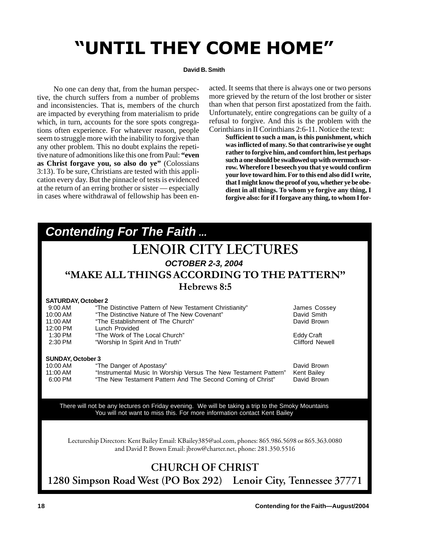## "UNTIL THEY COME HOME"

### **David B. Smith**

No one can deny that, from the human perspective, the church suffers from a number of problems and inconsistencies. That is, members of the church are impacted by everything from materialism to pride which, in turn, accounts for the sore spots congregations often experience. For whatever reason, people seem to struggle more with the inability to forgive than any other problem. This no doubt explains the repetitive nature of admonitions like this one from Paul: **"even as Christ forgave you, so also do ye"** (Colossians 3:13). To be sure, Christians are tested with this application every day. But the pinnacle of tests is evidenced at the return of an erring brother or sister — especially in cases where withdrawal of fellowship has been enacted. It seems that there is always one or two persons more grieved by the return of the lost brother or sister than when that person first apostatized from the faith. Unfortunately, entire congregations can be guilty of a refusal to forgive. And this is the problem with the Corinthians in II Corinthians 2:6-11. Notice the text:

**Sufficient to such a man, is this punishment, which was inflicted of many. So that contrariwise ye ought rather to forgive him, and comfort him, lest perhaps such a one should be swallowed up with overmuch sorrow. Wherefore I beseech you that ye would confirm your love toward him. For to this end also did I write, that I might know the proof of you, whether ye be obedient in all things. To whom ye forgive any thing, I forgive also: for if I forgave any thing, to whom I for-**

| <b>Contending For The Faith</b>                                                                                                                                                                                 |                                             |  |  |  |  |
|-----------------------------------------------------------------------------------------------------------------------------------------------------------------------------------------------------------------|---------------------------------------------|--|--|--|--|
| <b>LENOIR CITY LECTURES</b>                                                                                                                                                                                     |                                             |  |  |  |  |
| <b>OCTOBER 2-3, 2004</b>                                                                                                                                                                                        |                                             |  |  |  |  |
| "MAKE ALL THINGS ACCORDING TO THE PATTERN"                                                                                                                                                                      |                                             |  |  |  |  |
| Hebrews 8:5                                                                                                                                                                                                     |                                             |  |  |  |  |
| <b>SATURDAY, October 2</b><br>$9:00$ AM<br>"The Distinctive Pattern of New Testament Christianity"<br>"The Distinctive Nature of The New Covenant"<br>10:00 AM<br>11:00 AM<br>"The Establishment of The Church" | James Cossey<br>David Smith<br>David Brown  |  |  |  |  |
| 12:00 PM<br>Lunch Provided<br>1:30 PM<br>"The Work of The Local Church"<br>2:30 PM<br>"Worship In Spirit And In Truth"                                                                                          | <b>Eddy Craft</b><br><b>Clifford Newell</b> |  |  |  |  |
| <b>SUNDAY, October 3</b>                                                                                                                                                                                        |                                             |  |  |  |  |
| 10:00 AM<br>"The Danger of Apostasy"<br>"Instrumental Music In Worship Versus The New Testament Pattern"<br>11:00 AM<br>"The New Testament Pattern And The Second Coming of Christ"<br>6:00 PM                  | David Brown<br>Kent Bailey<br>David Brown   |  |  |  |  |
| There will not be any lectures on Friday evening. We will be taking a trip to the Smoky Mountains<br>You will not want to miss this. For more information contact Kent Bailey                                   |                                             |  |  |  |  |
| Lectureship Directors: Kent Bailey Email: KBailey385@aol.com, phones: 865.986.5698 or 865.363.0080<br>and David P. Brown Email: jbrow@charter.net, phone: 281.350.5516                                          |                                             |  |  |  |  |
| <b>CHURCH OF CHRIST</b>                                                                                                                                                                                         |                                             |  |  |  |  |

**1280 Simpson Road West (PO Box 292) Lenoir City, Tennessee 37771**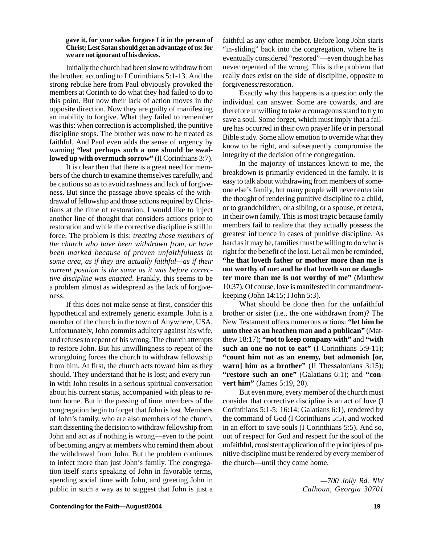### **gave it, for your sakes forgave I it in the person of Christ; Lest Satan should get an advantage of us: for we are not ignorant of his devices.**

Initially the church had been slow to withdraw from the brother, according to I Corinthians 5:1-13. And the strong rebuke here from Paul obviously provoked the members at Corinth to do what they had failed to do to this point. But now their lack of action moves in the opposite direction. Now they are guilty of manifesting an inability to forgive. What they failed to remember was this: when correction is accomplished, the punitive discipline stops. The brother was now to be treated as faithful. And Paul even adds the sense of urgency by warning **"lest perhaps such a one should be swallowed up with overmuch sorrow"** (II Corinthians 3:7).

It is clear then that there is a great need for members of the church to examine themselves carefully, and be cautious so as to avoid rashness and lack of forgiveness. But since the passage above speaks of the withdrawal of fellowship and those actions required by Christians at the time of restoration, I would like to inject another line of thought that considers actions prior to restoration and while the corrective discipline is still in force. The problem is this: *treating those members of the church who have been withdrawn from, or have been marked because of proven unfaithfulness in some area, as if they are actually faithful—as if their current position is the same as it was before corrective discipline was enacted*. Frankly, this seems to be a problem almost as widespread as the lack of forgiveness.

If this does not make sense at first, consider this hypothetical and extremely generic example. John is a member of the church in the town of Anywhere, USA. Unfortunately, John commits adultery against his wife, and refuses to repent of his wrong. The church attempts to restore John. But his unwillingness to repent of the wrongdoing forces the church to withdraw fellowship from him. At first, the church acts toward him as they should. They understand that he is lost; and every runin with John results in a serious spiritual conversation about his current status, accompanied with pleas to return home. But in the passing of time, members of the congregation begin to forget that John is lost. Members of John's family, who are also members of the church, start dissenting the decision to withdraw fellowship from John and act as if nothing is wrong—even to the point of becoming angry at members who remind them about the withdrawal from John. But the problem continues to infect more than just John's family. The congregation itself starts speaking of John in favorable terms, spending social time with John, and greeting John in public in such a way as to suggest that John is just a faithful as any other member. Before long John starts "in-sliding" back into the congregation, where he is eventually considered "restored"—even though he has never repented of the wrong. This is the problem that really does exist on the side of discipline, opposite to forgiveness/restoration.

Exactly why this happens is a question only the individual can answer. Some are cowards, and are therefore unwilling to take a courageous stand to try to save a soul. Some forget, which must imply that a failure has occurred in their own prayer life or in personal Bible study. Some allow emotion to override what they know to be right, and subsequently compromise the integrity of the decision of the congregation.

In the majority of instances known to me, the breakdown is primarily evidenced in the family. It is easy to talk about withdrawing from members of someone else's family, but many people will never entertain the thought of rendering punitive discipline to a child, or to grandchildren, or a sibling, or a spouse, et cetera, in their own family. This is most tragic because family members fail to realize that they actually possess the greatest influence in cases of punitive discipline. As hard as it may be, families must be willing to do what is right for the benefit of the lost. Let all men be reminded, **"he that loveth father or mother more than me is not worthy of me: and he that loveth son or daughter more than me is not worthy of me"** (Matthew 10:37). Of course, love is manifested in commandmentkeeping (John 14:15; I John 5:3).

What should be done then for the unfaithful brother or sister (i.e., the one withdrawn from)? The New Testament offers numerous actions: **"let him be unto thee as an heathen man and a publican"** (Matthew 18:17); **"not to keep company with"** and **"with such an one no not to eat"** (I Corinthians 5:9-11); **"count him not as an enemy, but admonish [or, warn]** him as a brother" (II Thessalonians 3:15); **"restore such an one"** (Galatians 6:1); and **"convert him"** (James 5:19, 20).

But even more, every member of the church must consider that corrective discipline is an act of love (I Corinthians 5:1-5; 16:14; Galatians 6:1), rendered by the command of God (I Corinthians 5:5), and worked in an effort to save souls (I Corinthians 5:5). And so, out of respect for God and respect for the soul of the unfaithful, consistent application of the principles of punitive discipline must be rendered by every member of the church—until they come home.

> *—700 Jolly Rd. NW Calhoun, Georgia 30701*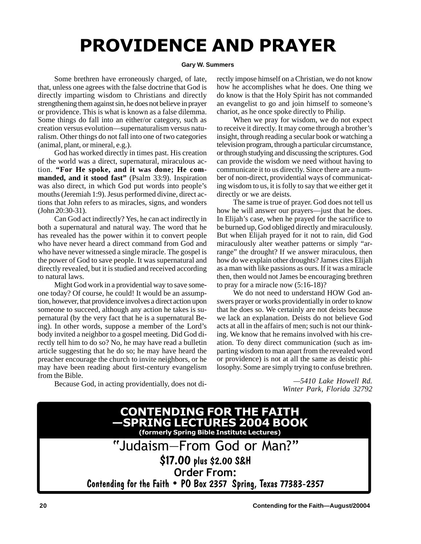## **PROVIDENCE AND PRAYER**

### **Gary W. Summers**

Some brethren have erroneously charged, of late, that, unless one agrees with the false doctrine that God is directly imparting wisdom to Christians and directly strengthening them against sin, he does not believe in prayer or providence. This is what is known as a false dilemma. Some things do fall into an either/or category, such as creation versus evolution—supernaturalism versus naturalism. Other things do not fall into one of two categories (animal, plant, or mineral, e.g.).

God has worked directly in times past. His creation of the world was a direct, supernatural, miraculous action. **"For He spoke, and it was done; He commanded, and it stood fast"** (Psalm 33:9). Inspiration was also direct, in which God put words into people's mouths (Jeremiah 1:9). Jesus performed divine, direct actions that John refers to as miracles, signs, and wonders (John 20:30-31).

Can God act indirectly? Yes, he can act indirectly in both a supernatural and natural way. The word that he has revealed has the power within it to convert people who have never heard a direct command from God and who have never witnessed a single miracle. The gospel is the power of God to save people. It was supernatural and directly revealed, but it is studied and received according to natural laws.

Might God work in a providential way to save someone today? Of course, he could! It would be an assumption, however, that providence involves a direct action upon someone to succeed, although any action he takes is supernatural (by the very fact that he is a supernatural Being). In other words, suppose a member of the Lord's body invited a neighbor to a gospel meeting. Did God directly tell him to do so? No, he may have read a bulletin article suggesting that he do so; he may have heard the preacher encourage the church to invite neighbors, or he may have been reading about first-century evangelism from the Bible.

Because God, in acting providentially, does not di-

rectly impose himself on a Christian, we do not know how he accomplishes what he does. One thing we do know is that the Holy Spirit has not commanded an evangelist to go and join himself to someone's chariot, as he once spoke directly to Philip.

When we pray for wisdom, we do not expect to receive it directly. It may come through a brother's insight, through reading a secular book or watching a television program, through a particular circumstance, or through studying and discussing the scriptures. God can provide the wisdom we need without having to communicate it to us directly. Since there are a number of non-direct, providential ways of communicating wisdom to us, it is folly to say that we either get it directly or we are deists.

The same is true of prayer. God does not tell us how he will answer our prayers—just that he does. In Elijah's case, when he prayed for the sacrifice to be burned up, God obliged directly and miraculously. But when Elijah prayed for it not to rain, did God miraculously alter weather patterns or simply "arrange" the drought? If we answer miraculous, then how do we explain other droughts? James cites Elijah as a man with like passions as ours. If it was a miracle then, then would not James be encouraging brethren to pray for a miracle now (5:16-18)?

We do not need to understand HOW God answers prayer or works providentially in order to know that he does so. We certainly are not deists because we lack an explanation. Deists do not believe God acts at all in the affairs of men; such is not our thinking. We know that he remains involved with his creation. To deny direct communication (such as imparting wisdom to man apart from the revealed word or providence) is not at all the same as deistic philosophy. Some are simply trying to confuse brethren.

> *—5410 Lake Howell Rd. Winter Park, Florida 32792*

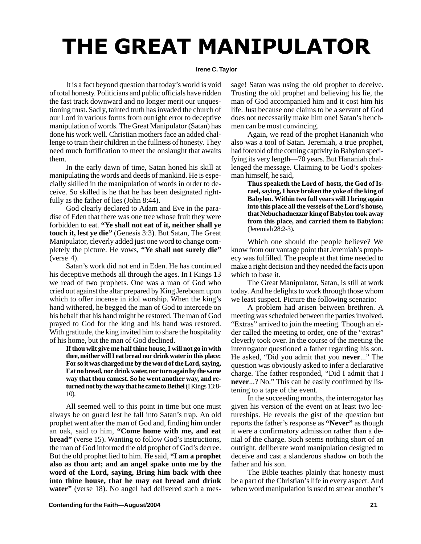## THE GREAT MANIPULATOR

### **Irene C. Taylor**

It is a fact beyond question that today's world is void of total honesty. Politicians and public officials have ridden the fast track downward and no longer merit our unquestioning trust. Sadly, tainted truth has invaded the church of our Lord in various forms from outright error to deceptive manipulation of words. The Great Manipulator (Satan) has done his work well. Christian mothers face an added challenge to train their children in the fullness of honesty. They need much fortification to meet the onslaught that awaits them.

In the early dawn of time, Satan honed his skill at manipulating the words and deeds of mankind. He is especially skilled in the manipulation of words in order to deceive. So skilled is he that he has been designated rightfully as the father of lies (John 8:44).

God clearly declared to Adam and Eve in the paradise of Eden that there was one tree whose fruit they were forbidden to eat. **"Ye shall not eat of it, neither shall ye touch it, lest ye die"** (Genesis 3:3). But Satan, The Great Manipulator, cleverly added just one word to change completely the picture. He vows, **"Ye shall not surely die"**  $(verse 4)$ .

Satan's work did not end in Eden. He has continued his deceptive methods all through the ages. In I Kings 13 we read of two prophets. One was a man of God who cried out against the altar prepared by King Jereboam upon which to offer incense in idol worship. When the king's hand withered, he begged the man of God to intercede on his behalf that his hand might be restored. The man of God prayed to God for the king and his hand was restored. With gratitude, the king invited him to share the hospitality of his home, but the man of God declined.

**If thou wilt give me half thine house, I will not go in with thee, neither will I eat bread nor drink water in this place: For so it was charged me by the word of the Lord, saying, Eat no bread, nor drink water, nor turn again by the same way that thou camest. So he went another way, and returned not by the way that he came to Bethel** (I Kings 13:8- 10).

All seemed well to this point in time but one must always be on guard lest he fall into Satan's trap. An old prophet went after the man of God and, finding him under an oak, said to him, **"Come home with me, and eat bread"** (verse 15). Wanting to follow God's instructions, the man of God informed the old prophet of God's decree. But the old prophet lied to him. He said, **"I am a prophet also as thou art; and an angel spake unto me by the word of the Lord, saying, Bring him back with thee into thine house, that he may eat bread and drink water**" (verse 18). No angel had delivered such a message! Satan was using the old prophet to deceive. Trusting the old prophet and believing his lie, the man of God accompanied him and it cost him his life. Just because one claims to be a servant of God does not necessarily make him one! Satan's henchmen can be most convincing.

Again, we read of the prophet Hananiah who also was a tool of Satan. Jeremiah, a true prophet, had foretold of the coming captivity in Babylon specifying its very length—70 years. But Hananiah challenged the message. Claiming to be God's spokesman himself, he said,

> **Thus speaketh the Lord of hosts, the God of Israel, saying, I have broken the yoke of the king of Babylon. Within two full years will I bring again into this place all the vessels of the Lord's house, that Nebuchadnezzar king of Babylon took away from this place, and carried them to Babylon:** (Jeremiah 28:2-3).

Which one should the people believe? We know from our vantage point that Jeremiah's prophecy was fulfilled. The people at that time needed to make a right decision and they needed the facts upon which to base it.

The Great Manipulator, Satan, is still at work today. And he delights to work through those whom we least suspect. Picture the following scenario:

A problem had arisen between brethren. A meeting was scheduled between the parties involved. "Extras" arrived to join the meeting. Though an elder called the meeting to order, one of the "extras" cleverly took over. In the course of the meeting the interrogator questioned a father regarding his son. He asked, "Did you admit that you **never**..." The question was obviously asked to infer a declarative charge. The father responded, "Did I admit that I **never**...? No." This can be easily confirmed by listening to a tape of the event.

In the succeeding months, the interrogator has given his version of the event on at least two lectureships. He reveals the gist of the question but reports the father's response as **"Never"** as though it were a confirmatory admission rather than a denial of the charge. Such seems nothing short of an outright, deliberate word manipulation designed to deceive and cast a slanderous shadow on both the father and his son.

The Bible teaches plainly that honesty must be a part of the Christian's life in every aspect. And when word manipulation is used to smear another's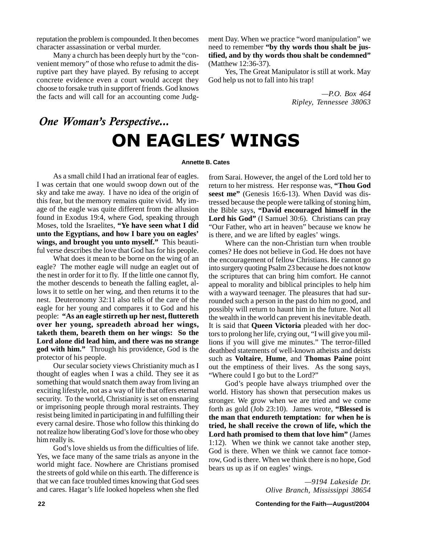reputation the problem is compounded. It then becomes character assassination or verbal murder.

Many a church has been deeply hurt by the "convenient memory" of those who refuse to admit the disruptive part they have played. By refusing to accept concrete evidence even a court would accept they choose to forsake truth in support of friends. God knows the facts and will call for an accounting come Judgment Day. When we practice "word manipulation" we need to remember **"by thy words thou shalt be justified, and by thy words thou shalt be condemned"** (Matthew 12:36-37).

Yes, The Great Manipulator is still at work. May God help us not to fall into his trap!

> *—P.O. Box 464 Ripley, Tennessee 38063*

### One Woman's Perspective... ON EAGLES' WINGS

### **Annette B. Cates**

As a small child I had an irrational fear of eagles. I was certain that one would swoop down out of the sky and take me away. I have no idea of the origin of this fear, but the memory remains quite vivid. My image of the eagle was quite different from the allusion found in Exodus 19:4, where God, speaking through Moses, told the Israelites, **"Ye have seen what I did unto the Egyptians, and how I bare you on eagles' wings, and brought you unto myself."** This beautiful verse describes the love that God has for his people.

What does it mean to be borne on the wing of an eagle? The mother eagle will nudge an eaglet out of the nest in order for it to fly. If the little one cannot fly, the mother descends to beneath the falling eaglet, allows it to settle on her wing, and then returns it to the nest. Deuteronomy 32:11 also tells of the care of the eagle for her young and compares it to God and his people: **"As an eagle stirreth up her nest, fluttereth over her young, spreadeth abroad her wings, taketh them, beareth them on her wings: So the Lord alone did lead him, and there was no strange god with him."** Through his providence, God is the protector of his people.

Our secular society views Christianity much as I thought of eagles when I was a child. They see it as something that would snatch them away from living an exciting lifestyle, not as a way of life that offers eternal security. To the world, Christianity is set on ensnaring or imprisoning people through moral restraints. They resist being limited in participating in and fulfilling their every carnal desire. Those who follow this thinking do not realize how liberating God's love for those who obey him really is.

God's love shields us from the difficulties of life. Yes, we face many of the same trials as anyone in the world might face. Nowhere are Christians promised the streets of gold while on this earth. The difference is that we can face troubled times knowing that God sees and cares. Hagar's life looked hopeless when she fled

from Sarai. However, the angel of the Lord told her to return to her mistress. Her response was, **"Thou God seest me"** (Genesis 16:6-13). When David was distressed because the people were talking of stoning him, the Bible says, **"David encouraged himself in the Lord his God"** (I Samuel 30:6). Christians can pray "Our Father, who art in heaven" because we know he is there, and we are lifted by eagles' wings.

Where can the non-Christian turn when trouble comes? He does not believe in God. He does not have the encouragement of fellow Christians. He cannot go into surgery quoting Psalm 23 because he does not know the scriptures that can bring him comfort. He cannot appeal to morality and biblical principles to help him with a wayward teenager. The pleasures that had surrounded such a person in the past do him no good, and possibly will return to haunt him in the future. Not all the wealth in the world can prevent his inevitable death. It is said that **Queen Victoria** pleaded with her doctors to prolong her life, crying out, "I will give you millions if you will give me minutes." The terror-filled deathbed statements of well-known atheists and deists such as **Voltaire**, **Hume**, and **Thomas Paine** point out the emptiness of their lives. As the song says, "Where could I go but to the Lord?"

God's people have always triumphed over the world. History has shown that persecution makes us stronger. We grow when we are tried and we come forth as gold (Job 23:10). James wrote, **"Blessed is the man that endureth temptation: for when he is tried, he shall receive the crown of life, which the Lord hath promised to them that love him"** (James 1:12). When we think we cannot take another step, God is there. When we think we cannot face tomorrow, God is there. When we think there is no hope, God bears us up as if on eagles' wings.

> *—9194 Lakeside Dr. Olive Branch, Mississippi 38654*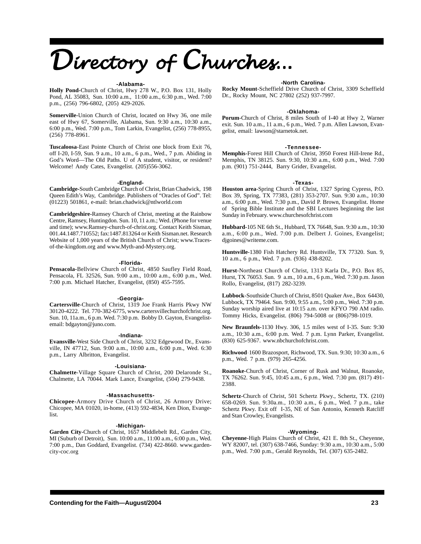### **-Alabama-**

**Holly Pond-**Church of Christ, Hwy 278 W., P.O. Box 131, Holly Pond, AL 35083, Sun. 10:00 a.m., 11:00 a.m., 6:30 p.m., Wed. 7:00 p.m., (256) 796-6802, (205) 429-2026.

**Somerville-**Union Church of Christ, located on Hwy 36, one mile east of Hwy 67, Somerville, Alabama, Sun. 9:30 a.m., 10:30 a.m., 6:00 p.m., Wed. 7:00 p.m., Tom Larkin, Evangelist, (256) 778-8955, (256) 778-8961.

**Tuscaloosa**-East Pointe Church of Christ one block from Exit 76, off I-20, I-59, Sun. 9 a.m., 10 a.m., 6 p.m., Wed., 7 p.m. Abiding in God's Word—The Old Paths. U of A student, visitor, or resident? Welcome! Andy Cates, Evangelist. (205)556-3062.

### **-England-**

**Cambridge-**South Cambridge Church of Christ, Brian Chadwick, 198 Queen Edith's Way, Cambridge. Publishers of "Oracles of God". Tel: (01223) 501861, e-mail: brian.chadwick@ntlworld.com

**Cambridgeshire-**Ramsey Church of Christ, meeting at the Rainbow Centre, Ramsey, Huntingdon. Sun. 10, 11 a.m.; Wed. (Phone for venue and time); www.Ramsey-church-of-christ.org. Contact Keith Sisman, 001.44.1487.710552; fax:1487.813264 or Keith Sisman.net. Research Website of 1,000 years of the British Church of Christ; www.Tracesof-the-kingdom.org and www.Myth-and-Mystery.org.

#### **-Florida-**

**Pensacola-**Bellview Church of Christ, 4850 Saufley Field Road, Pensacola, FL 32526, Sun. 9:00 a.m., 10:00 a.m., 6:00 p.m., Wed. 7:00 p.m. Michael Hatcher, Evangelist, (850) 455-7595.

### **-Georgia-**

**Cartersville**-Church of Christ, 1319 Joe Frank Harris Pkwy NW 30120-4222. Tel. 770-382-6775, www.cartersvillechurchofchrist.org. Sun. 10, 11a.m., 6 p.m. Wed. 7:30 p.m. Bobby D. Gayton, Evangelistemail: bdgayton@juno.com.

### **-Indiana-**

**Evansville**-West Side Church of Christ, 3232 Edgewood Dr., Evansville, IN 47712, Sun. 9:00 a.m., 10:00 a.m., 6:00 p.m., Wed. 6:30 p.m., Larry Albritton, Evangelist.

### **-Louisiana-**

**Chalmette**-Village Square Church of Christ, 200 Delaronde St., Chalmette, LA 70044. Mark Lance, Evangelist, (504) 279-9438.

### **-Massachusetts-**

**Chicopee**-Armory Drive Church of Christ, 26 Armory Drive; Chicopee, MA 01020, in-home, (413) 592-4834, Ken Dion, Evangelist.

### **-Michigan-**

**Garden City**-Church of Christ, 1657 Middlebelt Rd., Garden City, MI (Suburb of Detroit), Sun. 10:00 a.m., 11:00 a.m., 6:00 p.m., Wed. 7:00 p.m., Dan Goddard, Evangelist. (734) 422-8660. www.gardencity-coc.org

### **-North Carolina-**

**Rocky Mount**-Scheffield Drive Church of Christ, 3309 Scheffield Dr., Rocky Mount, NC 27802 (252) 937-7997.

### **-Oklahoma-**

**Porum**-Church of Christ, 8 miles South of I-40 at Hwy 2, Warner exit. Sun. 10 a.m., 11 a.m., 6 p.m., Wed. 7 p.m. Allen Lawson, Evangelist, email: lawson@starnetok.net.

#### **-Tennessee-**

**Memphis**-Forest Hill Church of Christ, 3950 Forest Hill-Irene Rd., Memphis, TN 38125. Sun. 9:30, 10:30 a.m., 6:00 p.m., Wed. 7:00 p.m. (901) 751-2444, Barry Grider, Evangelist.

#### **-Texas-**

**Houston area**-Spring Church of Christ, 1327 Spring Cypress, P.O. Box 39, Spring, TX 77383, (281) 353-2707. Sun. 9:30 a.m., 10:30 a.m., 6:00 p.m., Wed. 7:30 p.m., David P. Brown, Evangelist. Home of Spring Bible Institute and the SBI Lectures beginning the last Sunday in February. www.churchesofchrist.com

**Hubbard-**105 NE 6th St., Hubbard, TX 76648, Sun. 9:30 a.m., 10:30 a.m., 6:00 p.m., Wed. 7:00 p.m. Delbert J. Goines, Evangelist; djgoines@writeme.com.

**Huntsville**-1380 Fish Hatchery Rd. Huntsville, TX 77320. Sun. 9, 10 a.m., 6 p.m., Wed. 7 p.m. (936) 438-8202.

**Hurst**-Northeast Church of Christ, 1313 Karla Dr., P.O. Box 85, Hurst, TX 76053. Sun. 9 a.m., 10 a.m., 6 p.m., Wed. 7:30 p.m. Jason Rollo, Evangelist, (817) 282-3239.

**Lubbock**-Southside Church of Christ, 8501 Quaker Ave., Box 64430, Lubbock, TX 79464. Sun. 9:00, 9:55 a.m., 5:00 p.m., Wed. 7:30 p.m. Sunday worship aired live at 10:15 a.m. over KFYO 790 AM radio. Tommy Hicks, Evangelist. (806) 794-5008 or (806)798-1019.

**New Braunfels-**1130 Hwy. 306, 1.5 miles west of I-35. Sun: 9:30 a.m., 10:30 a.m., 6:00 p.m. Wed. 7 p.m. Lynn Parker, Evangelist. (830) 625-9367. www.nbchurchofchrist.com.

**Richwood**-1600 Brazosport, Richwood, TX. Sun. 9:30; 10:30 a.m., 6 p.m., Wed. 7 p.m. (979) 265-4256.

**Roanoke**-Church of Christ, Corner of Rusk and Walnut, Roanoke, TX 76262. Sun. 9:45, 10:45 a.m., 6 p.m., Wed. 7:30 pm. (817) 491- 2388.

**Schertz**-Church of Christ, 501 Schertz Pkwy., Schertz, TX. (210) 658-0269. Sun. 9:30a.m., 10:30 a.m., 6 p.m., Wed. 7 p.m., take Schertz Pkwy. Exit off I-35, NE of San Antonio, Kenneth Ratcliff and Stan Crowley, Evangelists.

### **-Wyoming-**

**Cheyenne**-High Plains Church of Christ, 421 E. 8th St., Cheyenne, WY 82007, tel. (307) 638-7466, Sunday: 9:30 a.m., 10:30 a.m., 5:00 p.m., Wed. 7:00 p.m., Gerald Reynolds, Tel. (307) 635-2482.